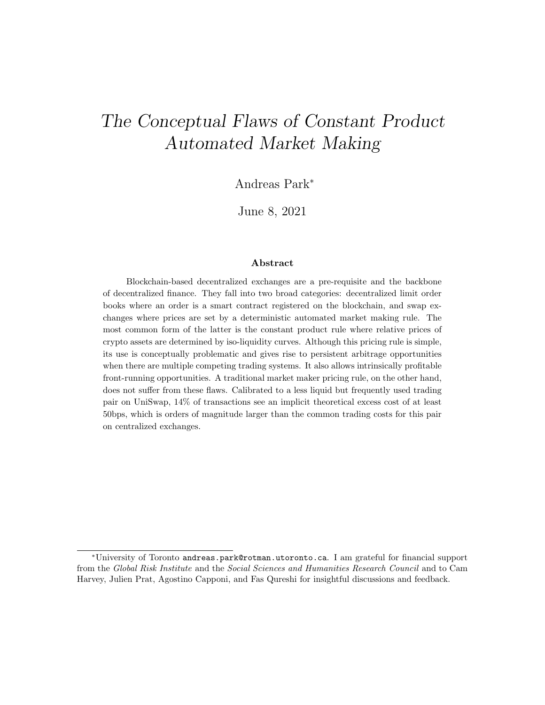# The Conceptual Flaws of Constant Product Automated Market Making

Andreas Park<sup>∗</sup>

June 8, 2021

#### Abstract

Blockchain-based decentralized exchanges are a pre-requisite and the backbone of decentralized finance. They fall into two broad categories: decentralized limit order books where an order is a smart contract registered on the blockchain, and swap exchanges where prices are set by a deterministic automated market making rule. The most common form of the latter is the constant product rule where relative prices of crypto assets are determined by iso-liquidity curves. Although this pricing rule is simple, its use is conceptually problematic and gives rise to persistent arbitrage opportunities when there are multiple competing trading systems. It also allows intrinsically profitable front-running opportunities. A traditional market maker pricing rule, on the other hand, does not suffer from these flaws. Calibrated to a less liquid but frequently used trading pair on UniSwap, 14% of transactions see an implicit theoretical excess cost of at least 50bps, which is orders of magnitude larger than the common trading costs for this pair on centralized exchanges.

<sup>∗</sup>University of Toronto andreas.park@rotman.utoronto.ca. I am grateful for financial support from the Global Risk Institute and the Social Sciences and Humanities Research Council and to Cam Harvey, Julien Prat, Agostino Capponi, and Fas Qureshi for insightful discussions and feedback.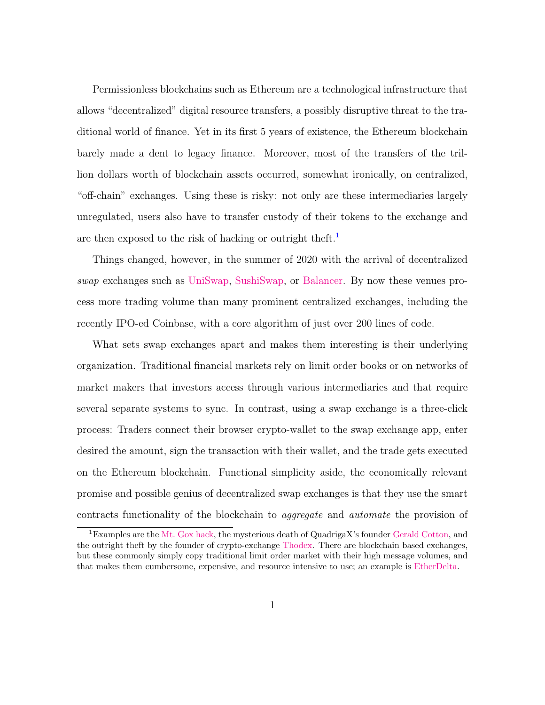Permissionless blockchains such as Ethereum are a technological infrastructure that allows "decentralized" digital resource transfers, a possibly disruptive threat to the traditional world of finance. Yet in its first 5 years of existence, the Ethereum blockchain barely made a dent to legacy finance. Moreover, most of the transfers of the trillion dollars worth of blockchain assets occurred, somewhat ironically, on centralized, "off-chain" exchanges. Using these is risky: not only are these intermediaries largely unregulated, users also have to transfer custody of their tokens to the exchange and are then exposed to the risk of hacking or outright theft.<sup>[1](#page-1-0)</sup>

Things changed, however, in the summer of 2020 with the arrival of decentralized swap exchanges such as [UniSwap,](https://uniswap.org/) [SushiSwap,](https://sushiswap.fi/) or [Balancer.](https://balancer.finance/) By now these venues process more trading volume than many prominent centralized exchanges, including the recently IPO-ed Coinbase, with a core algorithm of just over 200 lines of code.

What sets swap exchanges apart and makes them interesting is their underlying organization. Traditional financial markets rely on limit order books or on networks of market makers that investors access through various intermediaries and that require several separate systems to sync. In contrast, using a swap exchange is a three-click process: Traders connect their browser crypto-wallet to the swap exchange app, enter desired the amount, sign the transaction with their wallet, and the trade gets executed on the Ethereum blockchain. Functional simplicity aside, the economically relevant promise and possible genius of decentralized swap exchanges is that they use the smart contracts functionality of the blockchain to aggregate and automate the provision of

<span id="page-1-0"></span><sup>1</sup>Examples are the [Mt. Gox hack,](https://www.wired.com/2014/03/bitcoin-exchange/) the mysterious death of QuadrigaX's founder [Gerald Cotton,](https://www.vanityfair.com/news/2019/11/the-strange-tale-of-quadriga-gerald-cotten) and the outright theft by the founder of crypto-exchange [Thodex.](https://www.cnbc.com/2021/04/23/bitcoin-btc-ceo-of-turkish-cryptocurrency-exchange-thodex-missing.html) There are blockchain based exchanges, but these commonly simply copy traditional limit order market with their high message volumes, and that makes them cumbersome, expensive, and resource intensive to use; an example is [EtherDelta.](https://etherdelta.com/)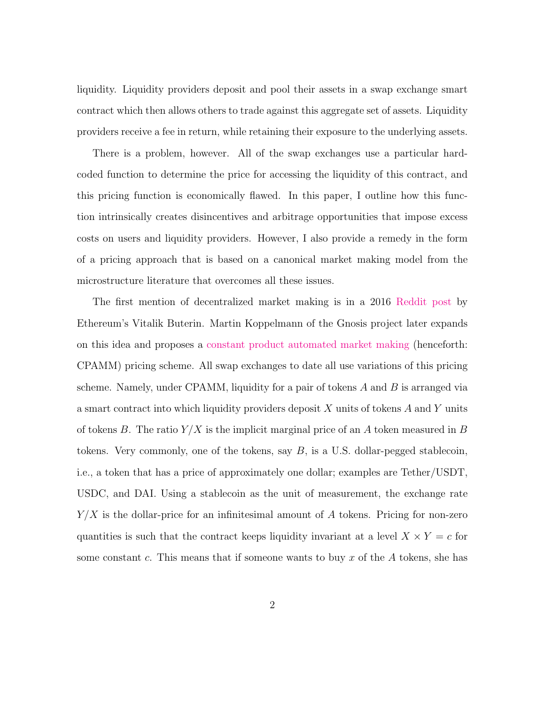liquidity. Liquidity providers deposit and pool their assets in a swap exchange smart contract which then allows others to trade against this aggregate set of assets. Liquidity providers receive a fee in return, while retaining their exposure to the underlying assets.

There is a problem, however. All of the swap exchanges use a particular hardcoded function to determine the price for accessing the liquidity of this contract, and this pricing function is economically flawed. In this paper, I outline how this function intrinsically creates disincentives and arbitrage opportunities that impose excess costs on users and liquidity providers. However, I also provide a remedy in the form of a pricing approach that is based on a canonical market making model from the microstructure literature that overcomes all these issues.

The first mention of decentralized market making is in a 2016 [Reddit post](https://www.reddit.com/r/ethereum/comments/55m04x/lets_run_onchain_decentralized_exchanges_the_way/) by Ethereum's Vitalik Buterin. Martin Koppelmann of the Gnosis project later expands on this idea and proposes a [constant product automated market making](https://forum.gnosis.io/t/market-maker-order-book/19) (henceforth: CPAMM) pricing scheme. All swap exchanges to date all use variations of this pricing scheme. Namely, under CPAMM, liquidity for a pair of tokens  $A$  and  $B$  is arranged via a smart contract into which liquidity providers deposit X units of tokens A and Y units of tokens B. The ratio  $Y/X$  is the implicit marginal price of an A token measured in B tokens. Very commonly, one of the tokens, say B, is a U.S. dollar-pegged stablecoin, i.e., a token that has a price of approximately one dollar; examples are Tether/USDT, USDC, and DAI. Using a stablecoin as the unit of measurement, the exchange rate  $Y/X$  is the dollar-price for an infinitesimal amount of A tokens. Pricing for non-zero quantities is such that the contract keeps liquidity invariant at a level  $X \times Y = c$  for some constant c. This means that if someone wants to buy x of the  $A$  tokens, she has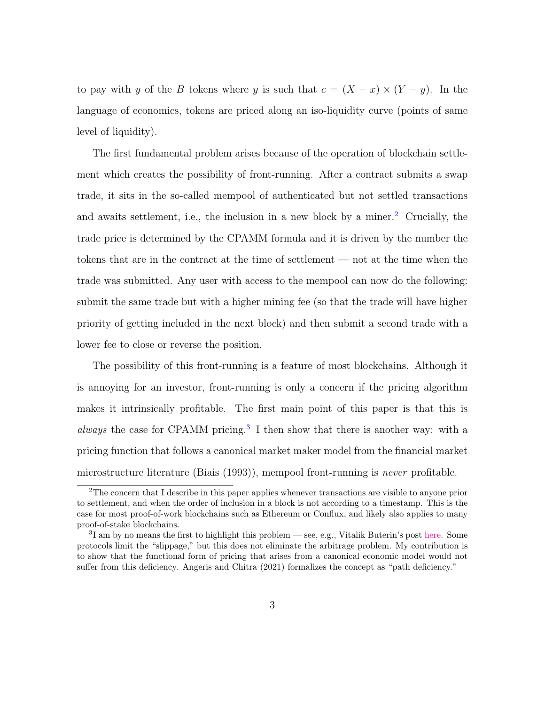to pay with y of the B tokens where y is such that  $c = (X - x) \times (Y - y)$ . In the language of economics, tokens are priced along an iso-liquidity curve (points of same level of liquidity).

The first fundamental problem arises because of the operation of blockchain settlement which creates the possibility of front-running. After a contract submits a swap trade, it sits in the so-called mempool of authenticated but not settled transactions and awaits settlement, i.e., the inclusion in a new block by a miner.[2](#page-3-0) Crucially, the trade price is determined by the CPAMM formula and it is driven by the number the tokens that are in the contract at the time of settlement — not at the time when the trade was submitted. Any user with access to the mempool can now do the following: submit the same trade but with a higher mining fee (so that the trade will have higher priority of getting included in the next block) and then submit a second trade with a lower fee to close or reverse the position.

The possibility of this front-running is a feature of most blockchains. Although it is annoying for an investor, front-running is only a concern if the pricing algorithm makes it intrinsically profitable. The first main point of this paper is that this is *always* the case for CPAMM pricing.<sup>[3](#page-3-1)</sup> I then show that there is another way: with a pricing function that follows a canonical market maker model from the financial market microstructure literature (Biais (1993)), mempool front-running is never profitable.

<span id="page-3-0"></span><sup>2</sup>The concern that I describe in this paper applies whenever transactions are visible to anyone prior to settlement, and when the order of inclusion in a block is not according to a timestamp. This is the case for most proof-of-work blockchains such as Ethereum or Conflux, and likely also applies to many proof-of-stake blockchains.

<span id="page-3-1"></span> ${}^{3}$ I am by no means the first to highlight this problem — see, e.g., Vitalik Buterin's post [here.](https://ethresear.ch/t/improving-front-running-resistance-of-x-y-k-market-makers/1281) Some protocols limit the "slippage," but this does not eliminate the arbitrage problem. My contribution is to show that the functional form of pricing that arises from a canonical economic model would not suffer from this deficiency. Angeris and Chitra (2021) formalizes the concept as "path deficiency."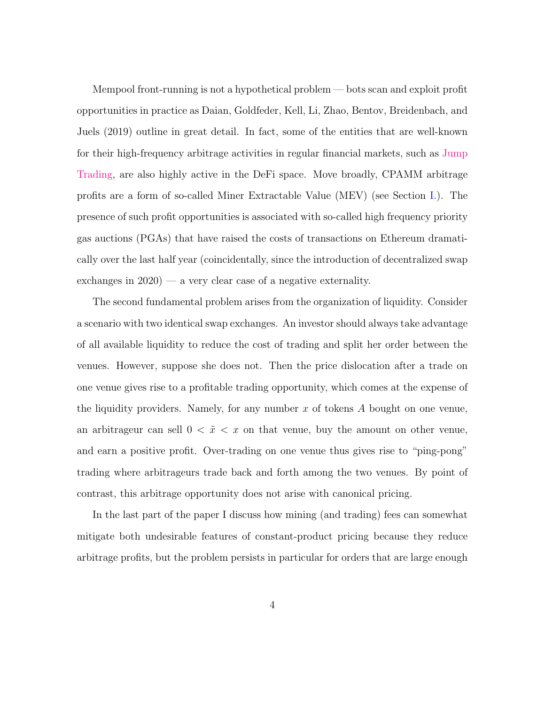Mempool front-running is not a hypothetical problem — bots scan and exploit profit opportunities in practice as Daian, Goldfeder, Kell, Li, Zhao, Bentov, Breidenbach, and Juels (2019) outline in great detail. In fact, some of the entities that are well-known for their high-frequency arbitrage activities in regular financial markets, such as [Jump](https://jumpcap.com/insights/the-institutionalization-of-crypto) [Trading,](https://jumpcap.com/insights/the-institutionalization-of-crypto) are also highly active in the DeFi space. Move broadly, CPAMM arbitrage profits are a form of so-called Miner Extractable Value (MEV) (see Section [I.\)](#page-6-0). The presence of such profit opportunities is associated with so-called high frequency priority gas auctions (PGAs) that have raised the costs of transactions on Ethereum dramatically over the last half year (coincidentally, since the introduction of decentralized swap exchanges in  $2020$ ) — a very clear case of a negative externality.

The second fundamental problem arises from the organization of liquidity. Consider a scenario with two identical swap exchanges. An investor should always take advantage of all available liquidity to reduce the cost of trading and split her order between the venues. However, suppose she does not. Then the price dislocation after a trade on one venue gives rise to a profitable trading opportunity, which comes at the expense of the liquidity providers. Namely, for any number  $x$  of tokens  $A$  bought on one venue, an arbitrageur can sell  $0 < \tilde{x} < x$  on that venue, buy the amount on other venue, and earn a positive profit. Over-trading on one venue thus gives rise to "ping-pong" trading where arbitrageurs trade back and forth among the two venues. By point of contrast, this arbitrage opportunity does not arise with canonical pricing.

In the last part of the paper I discuss how mining (and trading) fees can somewhat mitigate both undesirable features of constant-product pricing because they reduce arbitrage profits, but the problem persists in particular for orders that are large enough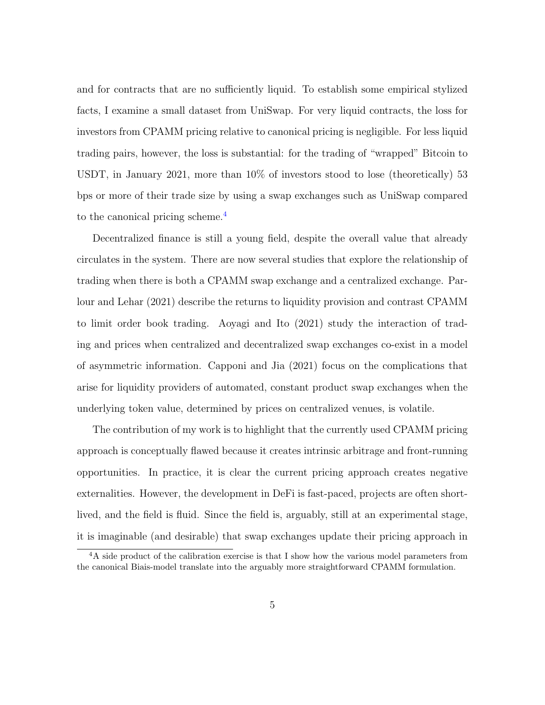and for contracts that are no sufficiently liquid. To establish some empirical stylized facts, I examine a small dataset from UniSwap. For very liquid contracts, the loss for investors from CPAMM pricing relative to canonical pricing is negligible. For less liquid trading pairs, however, the loss is substantial: for the trading of "wrapped" Bitcoin to USDT, in January 2021, more than 10% of investors stood to lose (theoretically) 53 bps or more of their trade size by using a swap exchanges such as UniSwap compared to the canonical pricing scheme.[4](#page-5-0)

Decentralized finance is still a young field, despite the overall value that already circulates in the system. There are now several studies that explore the relationship of trading when there is both a CPAMM swap exchange and a centralized exchange. Parlour and Lehar (2021) describe the returns to liquidity provision and contrast CPAMM to limit order book trading. Aoyagi and Ito (2021) study the interaction of trading and prices when centralized and decentralized swap exchanges co-exist in a model of asymmetric information. Capponi and Jia (2021) focus on the complications that arise for liquidity providers of automated, constant product swap exchanges when the underlying token value, determined by prices on centralized venues, is volatile.

The contribution of my work is to highlight that the currently used CPAMM pricing approach is conceptually flawed because it creates intrinsic arbitrage and front-running opportunities. In practice, it is clear the current pricing approach creates negative externalities. However, the development in DeFi is fast-paced, projects are often shortlived, and the field is fluid. Since the field is, arguably, still at an experimental stage, it is imaginable (and desirable) that swap exchanges update their pricing approach in

<span id="page-5-0"></span><sup>&</sup>lt;sup>4</sup>A side product of the calibration exercise is that I show how the various model parameters from the canonical Biais-model translate into the arguably more straightforward CPAMM formulation.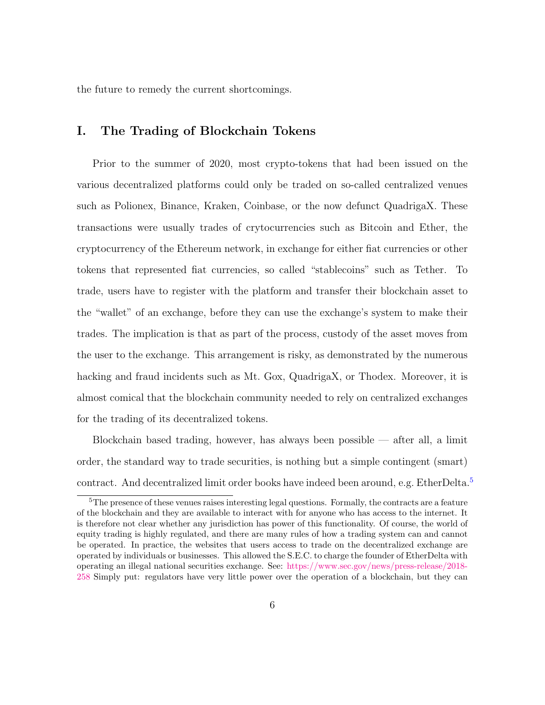<span id="page-6-0"></span>the future to remedy the current shortcomings.

## I. The Trading of Blockchain Tokens

Prior to the summer of 2020, most crypto-tokens that had been issued on the various decentralized platforms could only be traded on so-called centralized venues such as Polionex, Binance, Kraken, Coinbase, or the now defunct QuadrigaX. These transactions were usually trades of crytocurrencies such as Bitcoin and Ether, the cryptocurrency of the Ethereum network, in exchange for either fiat currencies or other tokens that represented fiat currencies, so called "stablecoins" such as Tether. To trade, users have to register with the platform and transfer their blockchain asset to the "wallet" of an exchange, before they can use the exchange's system to make their trades. The implication is that as part of the process, custody of the asset moves from the user to the exchange. This arrangement is risky, as demonstrated by the numerous hacking and fraud incidents such as Mt. Gox, QuadrigaX, or Thodex. Moreover, it is almost comical that the blockchain community needed to rely on centralized exchanges for the trading of its decentralized tokens.

Blockchain based trading, however, has always been possible  $-$  after all, a limit order, the standard way to trade securities, is nothing but a simple contingent (smart) contract. And decentralized limit order books have indeed been around, e.g. EtherDelta.[5](#page-6-1)

<span id="page-6-1"></span><sup>&</sup>lt;sup>5</sup>The presence of these venues raises interesting legal questions. Formally, the contracts are a feature of the blockchain and they are available to interact with for anyone who has access to the internet. It is therefore not clear whether any jurisdiction has power of this functionality. Of course, the world of equity trading is highly regulated, and there are many rules of how a trading system can and cannot be operated. In practice, the websites that users access to trade on the decentralized exchange are operated by individuals or businesses. This allowed the S.E.C. to charge the founder of EtherDelta with operating an illegal national securities exchange. See: [https://www.sec.gov/news/press-release/2018-](here.) [258](here.) Simply put: regulators have very little power over the operation of a blockchain, but they can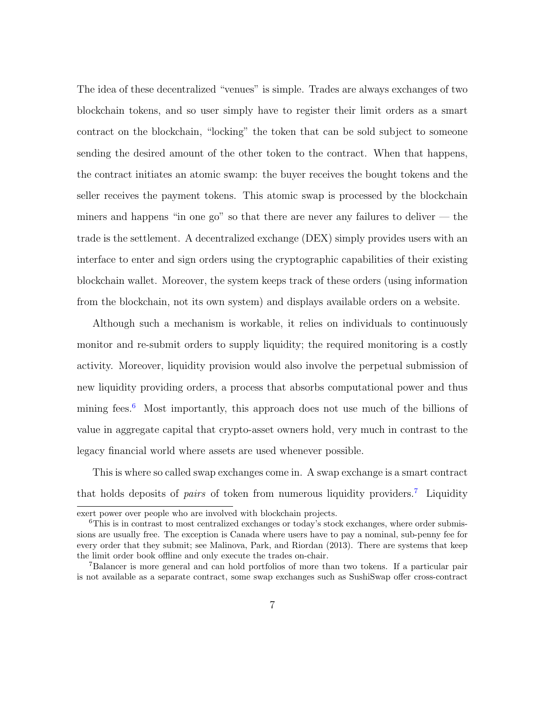The idea of these decentralized "venues" is simple. Trades are always exchanges of two blockchain tokens, and so user simply have to register their limit orders as a smart contract on the blockchain, "locking" the token that can be sold subject to someone sending the desired amount of the other token to the contract. When that happens, the contract initiates an atomic swamp: the buyer receives the bought tokens and the seller receives the payment tokens. This atomic swap is processed by the blockchain miners and happens "in one go" so that there are never any failures to deliver — the trade is the settlement. A decentralized exchange (DEX) simply provides users with an interface to enter and sign orders using the cryptographic capabilities of their existing blockchain wallet. Moreover, the system keeps track of these orders (using information from the blockchain, not its own system) and displays available orders on a website.

Although such a mechanism is workable, it relies on individuals to continuously monitor and re-submit orders to supply liquidity; the required monitoring is a costly activity. Moreover, liquidity provision would also involve the perpetual submission of new liquidity providing orders, a process that absorbs computational power and thus mining fees.<sup>[6](#page-7-0)</sup> Most importantly, this approach does not use much of the billions of value in aggregate capital that crypto-asset owners hold, very much in contrast to the legacy financial world where assets are used whenever possible.

This is where so called swap exchanges come in. A swap exchange is a smart contract that holds deposits of *pairs* of token from numerous liquidity providers.<sup>[7](#page-7-1)</sup> Liquidity

exert power over people who are involved with blockchain projects.

<span id="page-7-0"></span><sup>&</sup>lt;sup>6</sup>This is in contrast to most centralized exchanges or today's stock exchanges, where order submissions are usually free. The exception is Canada where users have to pay a nominal, sub-penny fee for every order that they submit; see Malinova, Park, and Riordan (2013). There are systems that keep the limit order book offline and only execute the trades on-chair.

<span id="page-7-1"></span><sup>7</sup>Balancer is more general and can hold portfolios of more than two tokens. If a particular pair is not available as a separate contract, some swap exchanges such as SushiSwap offer cross-contract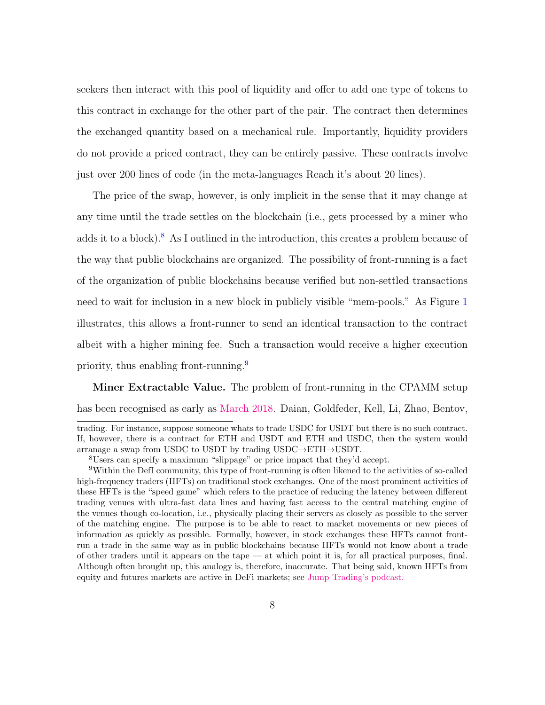seekers then interact with this pool of liquidity and offer to add one type of tokens to this contract in exchange for the other part of the pair. The contract then determines the exchanged quantity based on a mechanical rule. Importantly, liquidity providers do not provide a priced contract, they can be entirely passive. These contracts involve just over 200 lines of code (in the meta-languages Reach it's about 20 lines).

The price of the swap, however, is only implicit in the sense that it may change at any time until the trade settles on the blockchain (i.e., gets processed by a miner who adds it to a block).<sup>[8](#page-8-0)</sup> As I outlined in the introduction, this creates a problem because of the way that public blockchains are organized. The possibility of front-running is a fact of the organization of public blockchains because verified but non-settled transactions need to wait for inclusion in a new block in publicly visible "mem-pools." As Figure [1](#page-36-0) illustrates, this allows a front-runner to send an identical transaction to the contract albeit with a higher mining fee. Such a transaction would receive a higher execution priority, thus enabling front-running.[9](#page-8-1)

Miner Extractable Value. The problem of front-running in the CPAMM setup

has been recognised as early as [March 2018.](https://ethresear.ch/t/improving-front-running-resistance-of-x-y-k-market-makers/1281) Daian, Goldfeder, Kell, Li, Zhao, Bentov,

trading. For instance, suppose someone whats to trade USDC for USDT but there is no such contract. If, however, there is a contract for ETH and USDT and ETH and USDC, then the system would arranage a swap from USDC to USDT by trading USDC→ETH→USDT.

<span id="page-8-1"></span><span id="page-8-0"></span><sup>8</sup>Users can specify a maximum "slippage" or price impact that they'd accept.

<sup>9</sup>Within the DefI community, this type of front-running is often likened to the activities of so-called high-frequency traders (HFTs) on traditional stock exchanges. One of the most prominent activities of these HFTs is the "speed game" which refers to the practice of reducing the latency between different trading venues with ultra-fast data lines and having fast access to the central matching engine of the venues though co-location, i.e., physically placing their servers as closely as possible to the server of the matching engine. The purpose is to be able to react to market movements or new pieces of information as quickly as possible. Formally, however, in stock exchanges these HFTs cannot frontrun a trade in the same way as in public blockchains because HFTs would not know about a trade of other traders until it appears on the tape — at which point it is, for all practical purposes, final. Although often brought up, this analogy is, therefore, inaccurate. That being said, known HFTs from equity and futures markets are active in DeFi markets; see [Jump Trading's podcast.](https://jumpcap.com/insights/the-institutionalization-of-crypto)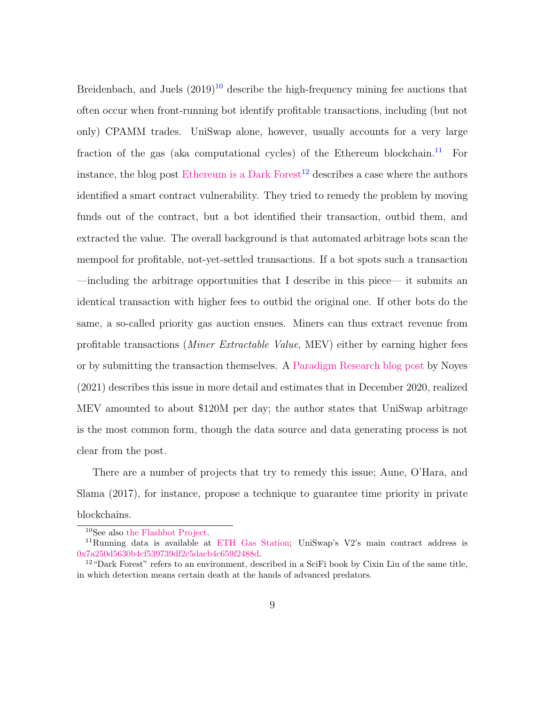Breidenbach, and Juels  $(2019)^{10}$  $(2019)^{10}$  $(2019)^{10}$  describe the high-frequency mining fee auctions that often occur when front-running bot identify profitable transactions, including (but not only) CPAMM trades. UniSwap alone, however, usually accounts for a very large fraction of the gas (aka computational cycles) of the Ethereum blockchain.<sup>[11](#page-9-1)</sup> For instance, the blog post [Ethereum is a Dark Forest](https://medium.com/@danrobinson/ethereum-is-a-dark-forest-ecc5f0505dff)<sup>[12](#page-9-2)</sup> describes a case where the authors identified a smart contract vulnerability. They tried to remedy the problem by moving funds out of the contract, but a bot identified their transaction, outbid them, and extracted the value. The overall background is that automated arbitrage bots scan the mempool for profitable, not-yet-settled transactions. If a bot spots such a transaction —including the arbitrage opportunities that I describe in this piece— it submits an identical transaction with higher fees to outbid the original one. If other bots do the same, a so-called priority gas auction ensues. Miners can thus extract revenue from profitable transactions (Miner Extractable Value, MEV) either by earning higher fees or by submitting the transaction themselves. A [Paradigm Research blog post](https://research.paradigm.xyz/MEV) by Noyes (2021) describes this issue in more detail and estimates that in December 2020, realized MEV amounted to about \$120M per day; the author states that UniSwap arbitrage is the most common form, though the data source and data generating process is not clear from the post.

There are a number of projects that try to remedy this issue; Aune, O'Hara, and Slama (2017), for instance, propose a technique to guarantee time priority in private blockchains.

<span id="page-9-1"></span><span id="page-9-0"></span><sup>10</sup>See also [the Flashbot Project.](https://github.com/flashbots/pm)

<sup>11</sup>Running data is available at [ETH Gas Station;](https://ethgasstation.info/gasguzzlers.php) UniSwap's V2's main contract address is [0x7a250d5630b4cf539739df2c5dacb4c659f2488d.](https://etherscan.io/address/0x7a250d5630b4cf539739df2c5dacb4c659f2488d)

<span id="page-9-2"></span><sup>12</sup>"Dark Forest" refers to an environment, described in a SciFi book by Cixin Liu of the same title, in which detection means certain death at the hands of advanced predators.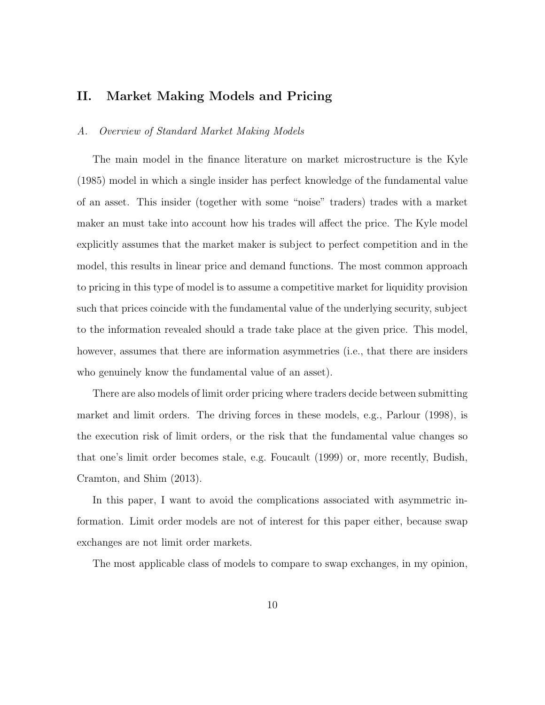## II. Market Making Models and Pricing

#### A. Overview of Standard Market Making Models

The main model in the finance literature on market microstructure is the Kyle (1985) model in which a single insider has perfect knowledge of the fundamental value of an asset. This insider (together with some "noise" traders) trades with a market maker an must take into account how his trades will affect the price. The Kyle model explicitly assumes that the market maker is subject to perfect competition and in the model, this results in linear price and demand functions. The most common approach to pricing in this type of model is to assume a competitive market for liquidity provision such that prices coincide with the fundamental value of the underlying security, subject to the information revealed should a trade take place at the given price. This model, however, assumes that there are information asymmetries (i.e., that there are insiders who genuinely know the fundamental value of an asset).

There are also models of limit order pricing where traders decide between submitting market and limit orders. The driving forces in these models, e.g., Parlour (1998), is the execution risk of limit orders, or the risk that the fundamental value changes so that one's limit order becomes stale, e.g. Foucault (1999) or, more recently, Budish, Cramton, and Shim (2013).

In this paper, I want to avoid the complications associated with asymmetric information. Limit order models are not of interest for this paper either, because swap exchanges are not limit order markets.

The most applicable class of models to compare to swap exchanges, in my opinion,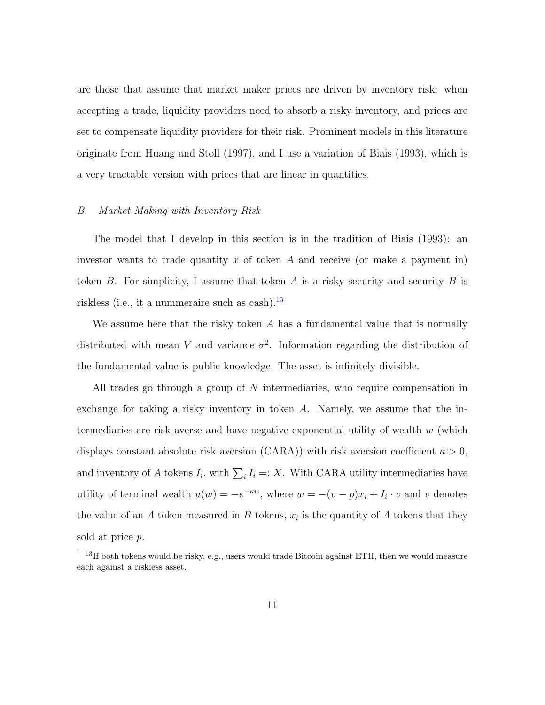are those that assume that market maker prices are driven by inventory risk: when accepting a trade, liquidity providers need to absorb a risky inventory, and prices are set to compensate liquidity providers for their risk. Prominent models in this literature originate from Huang and Stoll (1997), and I use a variation of Biais (1993), which is a very tractable version with prices that are linear in quantities.

#### B. Market Making with Inventory Risk

The model that I develop in this section is in the tradition of Biais (1993): an investor wants to trade quantity x of token A and receive (or make a payment in) token B. For simplicity, I assume that token A is a risky security and security B is riskless (i.e., it a nummeraire such as  $\cosh$ ).<sup>[13](#page-11-0)</sup>

We assume here that the risky token  $A$  has a fundamental value that is normally distributed with mean V and variance  $\sigma^2$ . Information regarding the distribution of the fundamental value is public knowledge. The asset is infinitely divisible.

All trades go through a group of N intermediaries, who require compensation in exchange for taking a risky inventory in token  $A$ . Namely, we assume that the intermediaries are risk averse and have negative exponential utility of wealth  $w$  (which displays constant absolute risk aversion (CARA)) with risk aversion coefficient  $\kappa > 0$ , and inventory of A tokens  $I_i$ , with  $\sum_i I_i =: X$ . With CARA utility intermediaries have utility of terminal wealth  $u(w) = -e^{-\kappa w}$ , where  $w = -(v - p)x_i + I_i \cdot v$  and v denotes the value of an A token measured in B tokens,  $x_i$  is the quantity of A tokens that they sold at price p.

<span id="page-11-0"></span><sup>&</sup>lt;sup>13</sup>If both tokens would be risky, e.g., users would trade Bitcoin against ETH, then we would measure each against a riskless asset.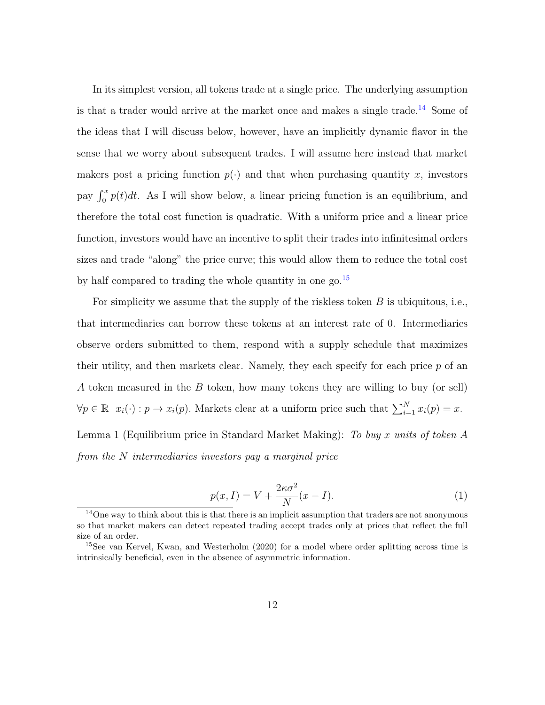In its simplest version, all tokens trade at a single price. The underlying assumption is that a trader would arrive at the market once and makes a single trade.[14](#page-12-0) Some of the ideas that I will discuss below, however, have an implicitly dynamic flavor in the sense that we worry about subsequent trades. I will assume here instead that market makers post a pricing function  $p(\cdot)$  and that when purchasing quantity x, investors pay  $\int_0^x p(t)dt$ . As I will show below, a linear pricing function is an equilibrium, and therefore the total cost function is quadratic. With a uniform price and a linear price function, investors would have an incentive to split their trades into infinitesimal orders sizes and trade "along" the price curve; this would allow them to reduce the total cost by half compared to trading the whole quantity in one go.<sup>[15](#page-12-1)</sup>

For simplicity we assume that the supply of the riskless token  $B$  is ubiquitous, i.e., that intermediaries can borrow these tokens at an interest rate of 0. Intermediaries observe orders submitted to them, respond with a supply schedule that maximizes their utility, and then markets clear. Namely, they each specify for each price  $p$  of an A token measured in the B token, how many tokens they are willing to buy (or sell)  $\forall p \in \mathbb{R} \ \ x_i(\cdot) : p \to x_i(p)$ . Markets clear at a uniform price such that  $\sum_{i=1}^{N} x_i(p) = x$ . Lemma 1 (Equilibrium price in Standard Market Making): To buy x units of token A from the N intermediaries investors pay a marginal price

$$
p(x,I) = V + \frac{2\kappa\sigma^2}{N}(x-I). \tag{1}
$$

<span id="page-12-0"></span> $14$ One way to think about this is that there is an implicit assumption that traders are not anonymous so that market makers can detect repeated trading accept trades only at prices that reflect the full size of an order.

<span id="page-12-1"></span><sup>&</sup>lt;sup>15</sup>See van Kervel, Kwan, and Westerholm (2020) for a model where order splitting across time is intrinsically beneficial, even in the absence of asymmetric information.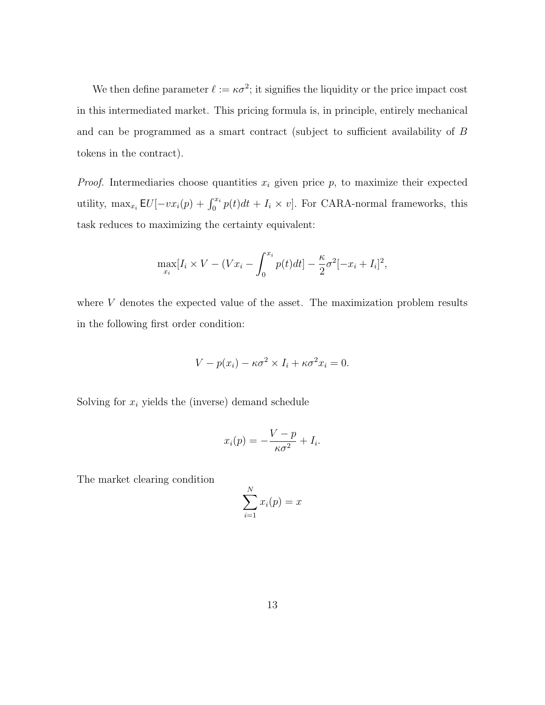We then define parameter  $\ell := \kappa \sigma^2$ ; it signifies the liquidity or the price impact cost in this intermediated market. This pricing formula is, in principle, entirely mechanical and can be programmed as a smart contract (subject to sufficient availability of B tokens in the contract).

*Proof.* Intermediaries choose quantities  $x_i$  given price  $p$ , to maximize their expected utility,  $\max_{x_i} \mathsf{E}U[-vx_i(p) + \int_0^{x_i} p(t)dt + I_i \times v]$ . For CARA-normal frameworks, this task reduces to maximizing the certainty equivalent:

$$
\max_{x_i} [I_i \times V - (Vx_i - \int_0^{x_i} p(t)dt] - \frac{\kappa}{2}\sigma^2 [-x_i + I_i]^2,
$$

where  $V$  denotes the expected value of the asset. The maximization problem results in the following first order condition:

$$
V - p(x_i) - \kappa \sigma^2 \times I_i + \kappa \sigma^2 x_i = 0.
$$

Solving for  $x_i$  yields the (inverse) demand schedule

$$
x_i(p) = -\frac{V - p}{\kappa \sigma^2} + I_i.
$$

The market clearing condition

$$
\sum_{i=1}^{N} x_i(p) = x
$$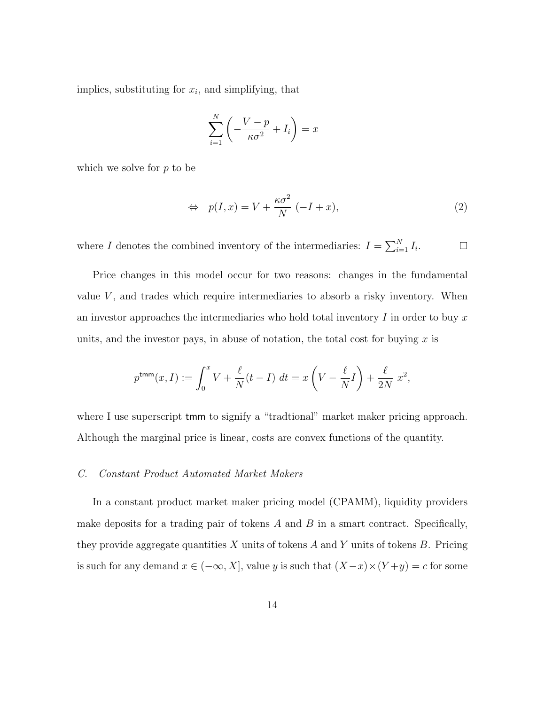implies, substituting for  $x_i$ , and simplifying, that

$$
\sum_{i=1}^{N} \left( -\frac{V-p}{\kappa \sigma^2} + I_i \right) = x
$$

which we solve for  $p$  to be

$$
\Leftrightarrow \quad p(I, x) = V + \frac{\kappa \sigma^2}{N} \left( -I + x \right), \tag{2}
$$

where I denotes the combined inventory of the intermediaries:  $I = \sum_{i=1}^{N} I_i$ .  $\Box$ 

Price changes in this model occur for two reasons: changes in the fundamental value  $V$ , and trades which require intermediaries to absorb a risky inventory. When an investor approaches the intermediaries who hold total inventory  $I$  in order to buy  $x$ units, and the investor pays, in abuse of notation, the total cost for buying  $x$  is

$$
p^{\text{tnm}}(x, I) := \int_0^x V + \frac{\ell}{N}(t - I) \, dt = x \left( V - \frac{\ell}{N} I \right) + \frac{\ell}{2N} \, x^2,
$$

where I use superscript tmm to signify a "tradtional" market maker pricing approach. Although the marginal price is linear, costs are convex functions of the quantity.

#### C. Constant Product Automated Market Makers

In a constant product market maker pricing model (CPAMM), liquidity providers make deposits for a trading pair of tokens  $A$  and  $B$  in a smart contract. Specifically, they provide aggregate quantities X units of tokens A and Y units of tokens B. Pricing is such for any demand  $x \in (-\infty, X]$ , value y is such that  $(X-x) \times (Y+y) = c$  for some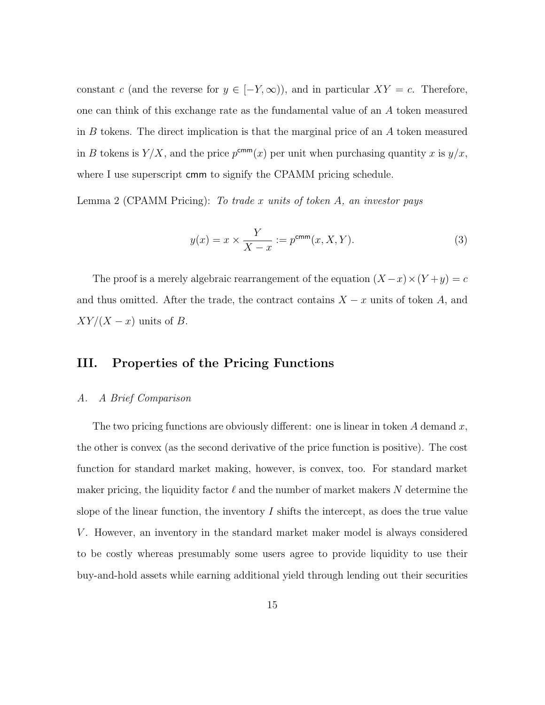constant c (and the reverse for  $y \in [-Y, \infty)$ ), and in particular  $XY = c$ . Therefore, one can think of this exchange rate as the fundamental value of an A token measured in B tokens. The direct implication is that the marginal price of an A token measured in B tokens is  $Y/X$ , and the price  $p^{cmm}(x)$  per unit when purchasing quantity x is  $y/x$ , where I use superscript cmm to signify the CPAMM pricing schedule.

Lemma 2 (CPAMM Pricing): To trade x units of token  $A$ , an investor pays

$$
y(x) = x \times \frac{Y}{X - x} := p^{\text{cnnm}}(x, X, Y). \tag{3}
$$

The proof is a merely algebraic rearrangement of the equation  $(X - x) \times (Y + y) = c$ and thus omitted. After the trade, the contract contains  $X - x$  units of token A, and  $XY/(X - x)$  units of B.

## III. Properties of the Pricing Functions

### A. A Brief Comparison

The two pricing functions are obviously different: one is linear in token  $A$  demand  $x$ , the other is convex (as the second derivative of the price function is positive). The cost function for standard market making, however, is convex, too. For standard market maker pricing, the liquidity factor  $\ell$  and the number of market makers N determine the slope of the linear function, the inventory I shifts the intercept, as does the true value V. However, an inventory in the standard market maker model is always considered to be costly whereas presumably some users agree to provide liquidity to use their buy-and-hold assets while earning additional yield through lending out their securities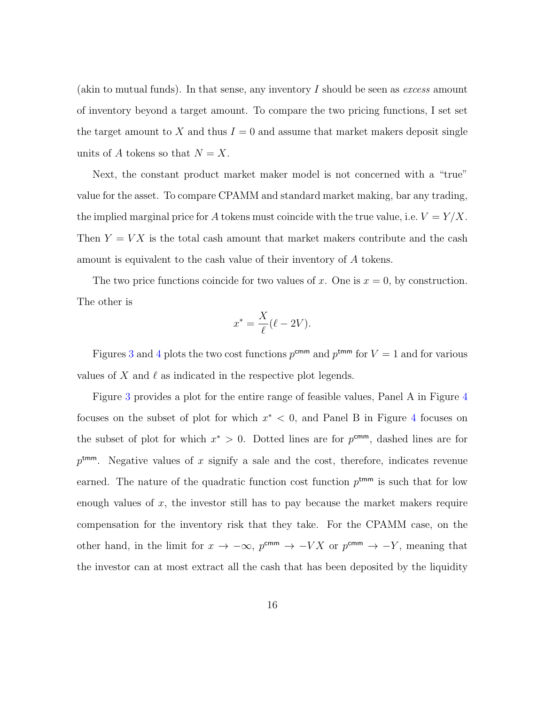(akin to mutual funds). In that sense, any inventory I should be seen as excess amount of inventory beyond a target amount. To compare the two pricing functions, I set set the target amount to X and thus  $I = 0$  and assume that market makers deposit single units of A tokens so that  $N = X$ .

Next, the constant product market maker model is not concerned with a "true" value for the asset. To compare CPAMM and standard market making, bar any trading, the implied marginal price for A tokens must coincide with the true value, i.e.  $V = Y/X$ . Then  $Y = VX$  is the total cash amount that market makers contribute and the cash amount is equivalent to the cash value of their inventory of A tokens.

The two price functions coincide for two values of x. One is  $x = 0$ , by construction. The other is

$$
x^* = \frac{X}{\ell}(\ell - 2V).
$$

Figures [3](#page-37-0) and [4](#page-37-1) plots the two cost functions  $p^{\text{cmm}}$  and  $p^{\text{tmm}}$  for  $V = 1$  and for various values of X and  $\ell$  as indicated in the respective plot legends.

Figure [3](#page-37-0) provides a plot for the entire range of feasible values, Panel A in Figure [4](#page-37-1) focuses on the subset of plot for which  $x^* < 0$ , and Panel B in Figure [4](#page-37-1) focuses on the subset of plot for which  $x^* > 0$ . Dotted lines are for  $p^{cmm}$ , dashed lines are for  $p^{\text{tmm}}$ . Negative values of x signify a sale and the cost, therefore, indicates revenue earned. The nature of the quadratic function cost function  $p^{tmm}$  is such that for low enough values of  $x$ , the investor still has to pay because the market makers require compensation for the inventory risk that they take. For the CPAMM case, on the other hand, in the limit for  $x \to -\infty$ ,  $p^{cmm} \to -V X$  or  $p^{cmm} \to -Y$ , meaning that the investor can at most extract all the cash that has been deposited by the liquidity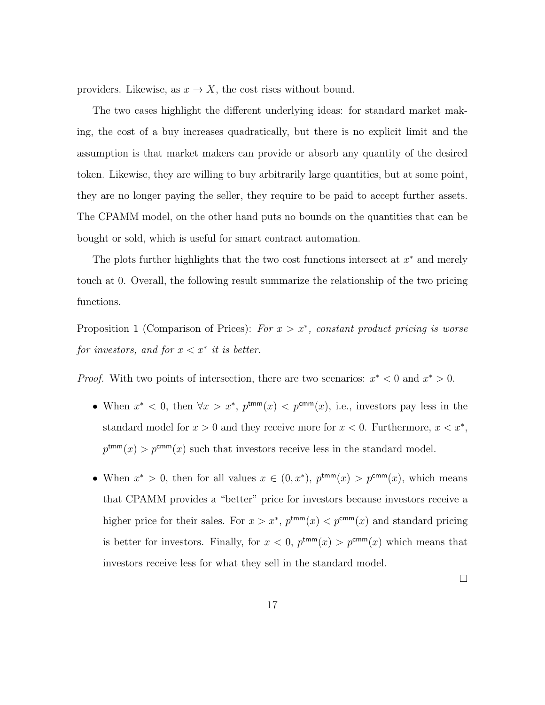providers. Likewise, as  $x \to X$ , the cost rises without bound.

The two cases highlight the different underlying ideas: for standard market making, the cost of a buy increases quadratically, but there is no explicit limit and the assumption is that market makers can provide or absorb any quantity of the desired token. Likewise, they are willing to buy arbitrarily large quantities, but at some point, they are no longer paying the seller, they require to be paid to accept further assets. The CPAMM model, on the other hand puts no bounds on the quantities that can be bought or sold, which is useful for smart contract automation.

The plots further highlights that the two cost functions intersect at  $x^*$  and merely touch at 0. Overall, the following result summarize the relationship of the two pricing functions.

<span id="page-17-0"></span>Proposition 1 (Comparison of Prices): For  $x > x^*$ , constant product pricing is worse for investors, and for  $x < x^*$  it is better.

*Proof.* With two points of intersection, there are two scenarios:  $x^* < 0$  and  $x^* > 0$ .

- When  $x^*$  < 0, then  $\forall x > x^*$ ,  $p^{tmm}(x) < p^{cmm}(x)$ , i.e., investors pay less in the standard model for  $x > 0$  and they receive more for  $x < 0$ . Furthermore,  $x < x^*$ ,  $p^{\text{tmm}}(x) > p^{\text{cmm}}(x)$  such that investors receive less in the standard model.
- When  $x^* > 0$ , then for all values  $x \in (0, x^*)$ ,  $p^{tmm}(x) > p^{cmm}(x)$ , which means that CPAMM provides a "better" price for investors because investors receive a higher price for their sales. For  $x > x^*$ ,  $p^{tmm}(x) < p^{cmm}(x)$  and standard pricing is better for investors. Finally, for  $x < 0$ ,  $p^{tmm}(x) > p^{cmm}(x)$  which means that investors receive less for what they sell in the standard model.

 $\Box$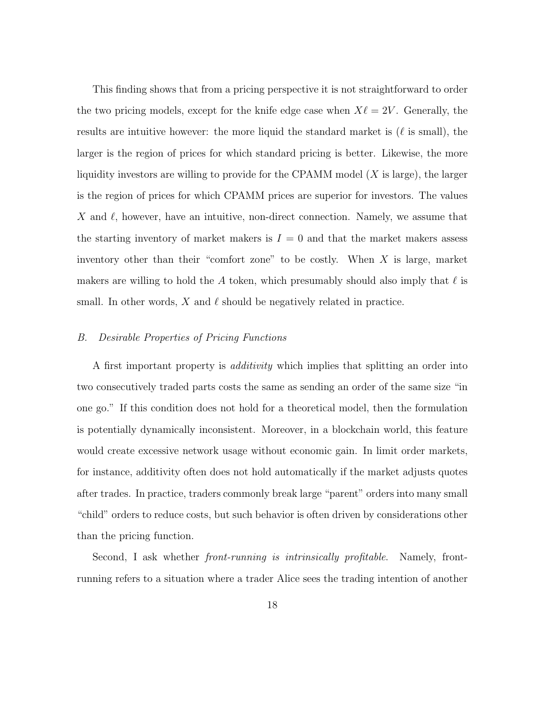This finding shows that from a pricing perspective it is not straightforward to order the two pricing models, except for the knife edge case when  $X\ell = 2V$ . Generally, the results are intuitive however: the more liquid the standard market is  $(\ell \text{ is small})$ , the larger is the region of prices for which standard pricing is better. Likewise, the more liquidity investors are willing to provide for the CPAMM model  $(X$  is large), the larger is the region of prices for which CPAMM prices are superior for investors. The values X and  $\ell$ , however, have an intuitive, non-direct connection. Namely, we assume that the starting inventory of market makers is  $I = 0$  and that the market makers assess inventory other than their "comfort zone" to be costly. When  $X$  is large, market makers are willing to hold the A token, which presumably should also imply that  $\ell$  is small. In other words, X and  $\ell$  should be negatively related in practice.

#### B. Desirable Properties of Pricing Functions

A first important property is *additivity* which implies that splitting an order into two consecutively traded parts costs the same as sending an order of the same size "in one go." If this condition does not hold for a theoretical model, then the formulation is potentially dynamically inconsistent. Moreover, in a blockchain world, this feature would create excessive network usage without economic gain. In limit order markets, for instance, additivity often does not hold automatically if the market adjusts quotes after trades. In practice, traders commonly break large "parent" orders into many small "child" orders to reduce costs, but such behavior is often driven by considerations other than the pricing function.

Second, I ask whether *front-running is intrinsically profitable*. Namely, frontrunning refers to a situation where a trader Alice sees the trading intention of another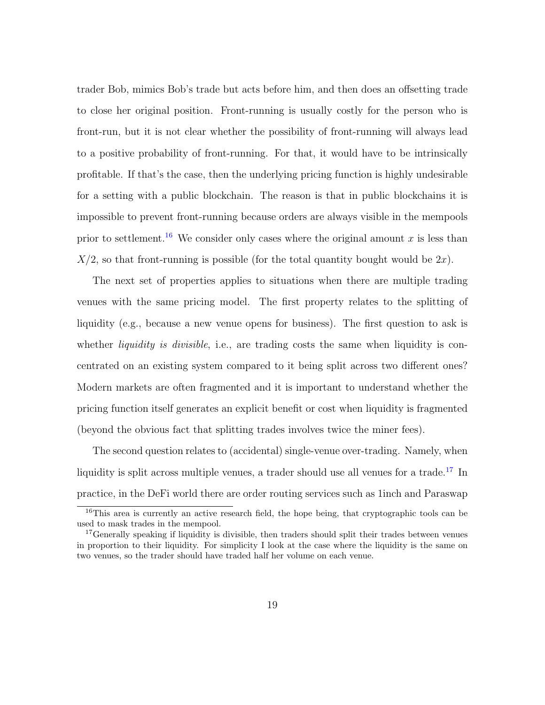trader Bob, mimics Bob's trade but acts before him, and then does an offsetting trade to close her original position. Front-running is usually costly for the person who is front-run, but it is not clear whether the possibility of front-running will always lead to a positive probability of front-running. For that, it would have to be intrinsically profitable. If that's the case, then the underlying pricing function is highly undesirable for a setting with a public blockchain. The reason is that in public blockchains it is impossible to prevent front-running because orders are always visible in the mempools prior to settlement.<sup>[16](#page-19-0)</sup> We consider only cases where the original amount x is less than  $X/2$ , so that front-running is possible (for the total quantity bought would be  $2x$ ).

The next set of properties applies to situations when there are multiple trading venues with the same pricing model. The first property relates to the splitting of liquidity (e.g., because a new venue opens for business). The first question to ask is whether *liquidity is divisible*, i.e., are trading costs the same when liquidity is concentrated on an existing system compared to it being split across two different ones? Modern markets are often fragmented and it is important to understand whether the pricing function itself generates an explicit benefit or cost when liquidity is fragmented (beyond the obvious fact that splitting trades involves twice the miner fees).

The second question relates to (accidental) single-venue over-trading. Namely, when liquidity is split across multiple venues, a trader should use all venues for a trade.<sup>[17](#page-19-1)</sup> In practice, in the DeFi world there are order routing services such as 1inch and Paraswap

<span id="page-19-0"></span><sup>16</sup>This area is currently an active research field, the hope being, that cryptographic tools can be used to mask trades in the mempool.

<span id="page-19-1"></span><sup>&</sup>lt;sup>17</sup>Generally speaking if liquidity is divisible, then traders should split their trades between venues in proportion to their liquidity. For simplicity I look at the case where the liquidity is the same on two venues, so the trader should have traded half her volume on each venue.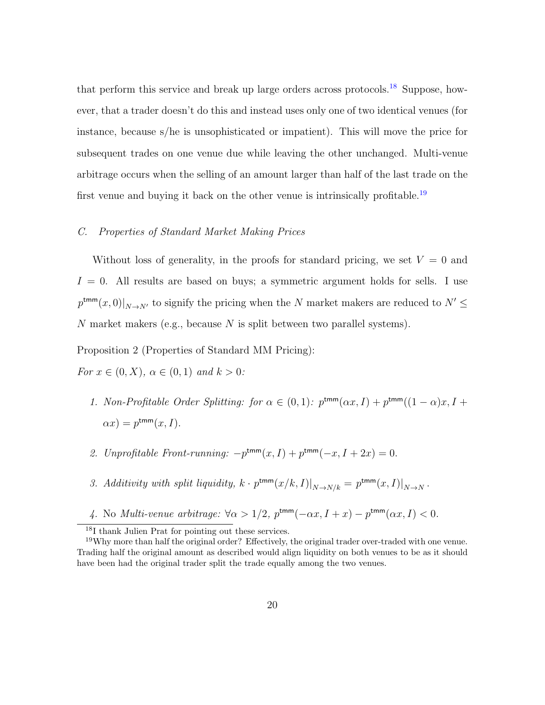that perform this service and break up large orders across protocols.<sup>[18](#page-20-0)</sup> Suppose, however, that a trader doesn't do this and instead uses only one of two identical venues (for instance, because s/he is unsophisticated or impatient). This will move the price for subsequent trades on one venue due while leaving the other unchanged. Multi-venue arbitrage occurs when the selling of an amount larger than half of the last trade on the first venue and buying it back on the other venue is intrinsically profitable.<sup>[19](#page-20-1)</sup>

#### C. Properties of Standard Market Making Prices

Without loss of generality, in the proofs for standard pricing, we set  $V = 0$  and  $I = 0$ . All results are based on buys; a symmetric argument holds for sells. I use  $p^{\text{tnm}}(x,0)|_{N\to N'}$  to signify the pricing when the N market makers are reduced to  $N'\leq$ N market makers (e.g., because N is split between two parallel systems).

<span id="page-20-2"></span>Proposition 2 (Properties of Standard MM Pricing):

For  $x \in (0, X)$ ,  $\alpha \in (0, 1)$  and  $k > 0$ :

- 1. Non-Profitable Order Splitting: for  $\alpha \in (0,1)$ :  $p^{tmm}(\alpha x, I) + p^{tmm}((1-\alpha)x, I +$  $\alpha x$ ) =  $p^{\text{tmm}}(x, I)$ .
- 2. Unprofitable Front-running:  $-p^{\text{tnm}}(x, I) + p^{\text{tnm}}(-x, I + 2x) = 0$ .
- 3. Additivity with split liquidity,  $k \cdot p^{\text{tnm}}(x/k, I)|_{N \to N/k} = p^{\text{tnm}}(x, I)|_{N \to N}$ .
- 4. No *Multi-venue arbitrage*:  $\forall \alpha > 1/2$ ,  $p^{tmm}(-\alpha x, I + x) p^{tmm}(\alpha x, I) < 0$ .

<span id="page-20-1"></span><span id="page-20-0"></span><sup>&</sup>lt;sup>18</sup>I thank Julien Prat for pointing out these services.

 $19$ Why more than half the original order? Effectively, the original trader over-traded with one venue. Trading half the original amount as described would align liquidity on both venues to be as it should have been had the original trader split the trade equally among the two venues.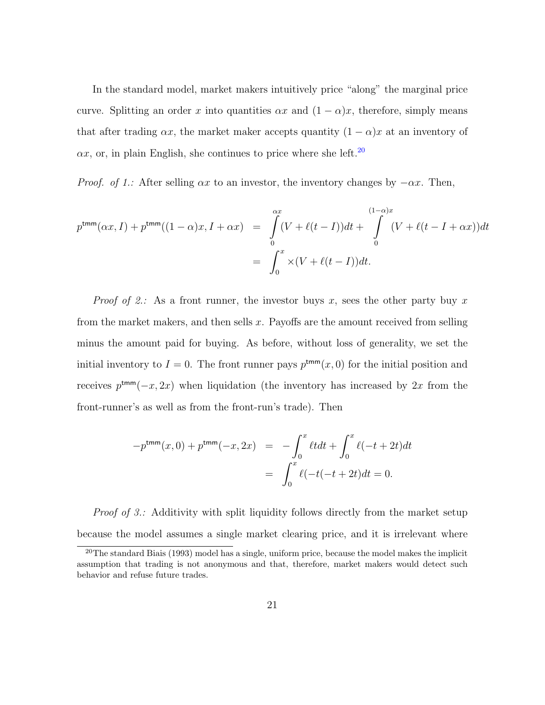In the standard model, market makers intuitively price "along" the marginal price curve. Splitting an order x into quantities  $\alpha x$  and  $(1 - \alpha)x$ , therefore, simply means that after trading  $\alpha x$ , the market maker accepts quantity  $(1 - \alpha)x$  at an inventory of  $\alpha x$ , or, in plain English, she continues to price where she left.<sup>[20](#page-21-0)</sup>

*Proof.* of 1.: After selling  $\alpha x$  to an investor, the inventory changes by  $-\alpha x$ . Then,

$$
p^{\text{tnm}}(\alpha x, I) + p^{\text{tnm}}((1 - \alpha)x, I + \alpha x) = \int_{0}^{\alpha x} (V + \ell(t - I))dt + \int_{0}^{(1 - \alpha)x} (V + \ell(t - I + \alpha x))dt
$$

$$
= \int_{0}^{x} \times (V + \ell(t - I))dt.
$$

*Proof of 2.:* As a front runner, the investor buys x, sees the other party buy x from the market makers, and then sells  $x$ . Payoffs are the amount received from selling minus the amount paid for buying. As before, without loss of generality, we set the initial inventory to  $I = 0$ . The front runner pays  $p^{tmm}(x, 0)$  for the initial position and receives  $p^{\text{tnm}}(-x, 2x)$  when liquidation (the inventory has increased by 2x from the front-runner's as well as from the front-run's trade). Then

$$
-p^{\text{tnm}}(x,0) + p^{\text{tnm}}(-x,2x) = -\int_0^x \ell t dt + \int_0^x \ell(-t+2t) dt
$$
  
= 
$$
\int_0^x \ell(-t(-t+2t)) dt = 0.
$$

Proof of 3.: Additivity with split liquidity follows directly from the market setup because the model assumes a single market clearing price, and it is irrelevant where

<span id="page-21-0"></span> $20$ The standard Biais (1993) model has a single, uniform price, because the model makes the implicit assumption that trading is not anonymous and that, therefore, market makers would detect such behavior and refuse future trades.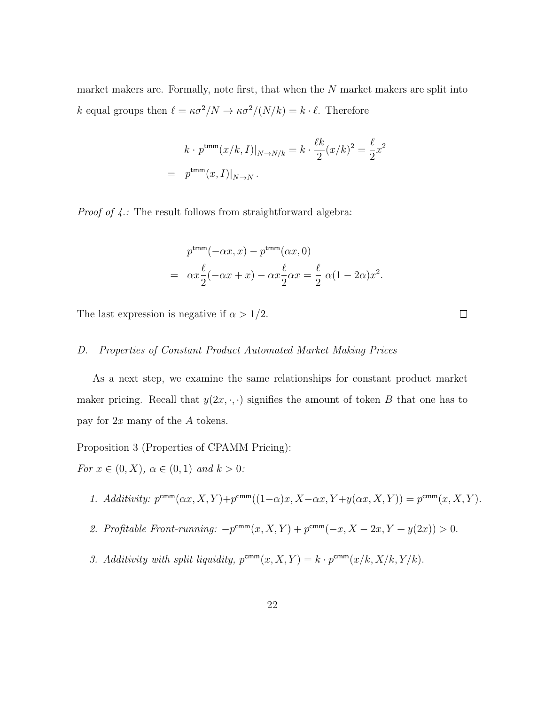market makers are. Formally, note first, that when the N market makers are split into k equal groups then  $\ell = \kappa \sigma^2/N \to \kappa \sigma^2/(N/k) = k \cdot \ell$ . Therefore

$$
k \cdot p^{\text{tnm}}(x/k, I)|_{N \to N/k} = k \cdot \frac{\ell k}{2}(x/k)^2 = \frac{\ell}{2}x^2
$$

$$
= p^{\text{tnm}}(x, I)|_{N \to N}.
$$

*Proof of 4.:* The result follows from straightforward algebra:

$$
p^{\text{tnm}}(-\alpha x, x) - p^{\text{tnm}}(\alpha x, 0)
$$
  
= 
$$
\alpha x \frac{\ell}{2}(-\alpha x + x) - \alpha x \frac{\ell}{2} \alpha x = \frac{\ell}{2} \alpha (1 - 2\alpha) x^{2}.
$$

 $\Box$ 

The last expression is negative if  $\alpha > 1/2$ .

#### D. Properties of Constant Product Automated Market Making Prices

As a next step, we examine the same relationships for constant product market maker pricing. Recall that  $y(2x, \cdot, \cdot)$  signifies the amount of token B that one has to pay for 2x many of the A tokens.

<span id="page-22-0"></span>Proposition 3 (Properties of CPAMM Pricing):

For  $x \in (0, X)$ ,  $\alpha \in (0, 1)$  and  $k > 0$ :

1. Additivity:  $p^{\text{cmm}}(\alpha x, X, Y) + p^{\text{cmm}}((1-\alpha)x, X-\alpha x, Y+y(\alpha x, X, Y)) = p^{\text{cmm}}(x, X, Y).$ 

- 2. Profitable Front-running:  $-p^{cmm}(x, X, Y) + p^{cmm}(-x, X 2x, Y + y(2x)) > 0$ .
- 3. Additivity with split liquidity,  $p^{cmm}(x, X, Y) = k \cdot p^{cmm}(x/k, X/k, Y/k)$ .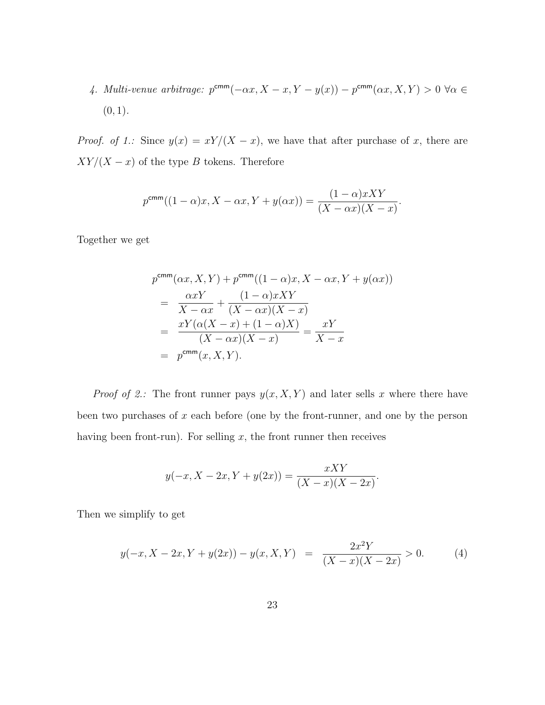4. Multi-venue arbitrage:  $p^{\text{cmm}}(-\alpha x, X - x, Y - y(x)) - p^{\text{cmm}}(\alpha x, X, Y) > 0 \ \forall \alpha \in$  $(0, 1)$ .

*Proof.* of 1.: Since  $y(x) = xY/(X - x)$ , we have that after purchase of x, there are  $XY/(X - x)$  of the type B tokens. Therefore

$$
p^{\text{cmm}}((1-\alpha)x, X - \alpha x, Y + y(\alpha x)) = \frac{(1-\alpha)xXY}{(X - \alpha x)(X - x)}.
$$

Together we get

$$
p^{\text{cmm}}(\alpha x, X, Y) + p^{\text{cmm}}((1 - \alpha)x, X - \alpha x, Y + y(\alpha x))
$$
  
= 
$$
\frac{\alpha xY}{X - \alpha x} + \frac{(1 - \alpha)xXY}{(X - \alpha x)(X - x)}
$$
  
= 
$$
\frac{xY(\alpha(X - x) + (1 - \alpha)X)}{(X - \alpha x)(X - x)} = \frac{xY}{X - x}
$$
  
= 
$$
p^{\text{cmm}}(x, X, Y).
$$

*Proof of 2.:* The front runner pays  $y(x, X, Y)$  and later sells x where there have been two purchases of  $x$  each before (one by the front-runner, and one by the person having been front-run). For selling  $x$ , the front runner then receives

$$
y(-x, X - 2x, Y + y(2x)) = \frac{xXY}{(X - x)(X - 2x)}.
$$

Then we simplify to get

<span id="page-23-0"></span>
$$
y(-x, X - 2x, Y + y(2x)) - y(x, X, Y) = \frac{2x^2Y}{(X - x)(X - 2x)} > 0.
$$
 (4)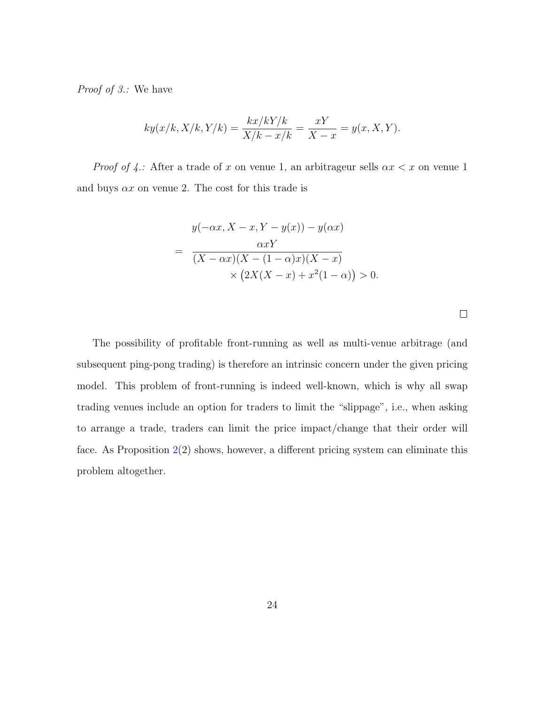Proof of 3.: We have

$$
ky(x/k, X/k, Y/k) = \frac{kx/kY/k}{X/k - x/k} = \frac{xY}{X - x} = y(x, X, Y).
$$

*Proof of 4.:* After a trade of x on venue 1, an arbitrageur sells  $\alpha x < x$  on venue 1 and buys  $\alpha x$  on venue 2. The cost for this trade is

$$
y(-\alpha x, X - x, Y - y(x)) - y(\alpha x)
$$
  
= 
$$
\frac{\alpha xY}{(X - \alpha x)(X - (1 - \alpha)x)(X - x)}
$$
  

$$
\times (2X(X - x) + x^{2}(1 - \alpha)) > 0.
$$

 $\Box$ 

The possibility of profitable front-running as well as multi-venue arbitrage (and subsequent ping-pong trading) is therefore an intrinsic concern under the given pricing model. This problem of front-running is indeed well-known, which is why all swap trading venues include an option for traders to limit the "slippage", i.e., when asking to arrange a trade, traders can limit the price impact/change that their order will face. As Proposition  $2(2)$  $2(2)$  shows, however, a different pricing system can eliminate this problem altogether.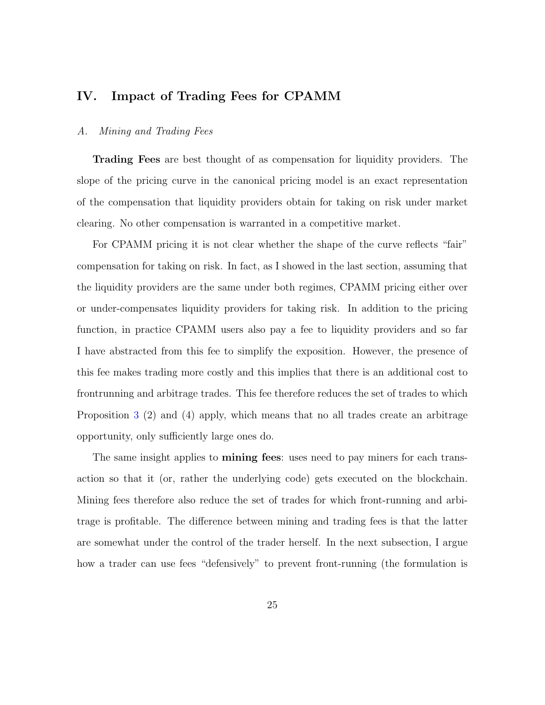## IV. Impact of Trading Fees for CPAMM

#### A. Mining and Trading Fees

Trading Fees are best thought of as compensation for liquidity providers. The slope of the pricing curve in the canonical pricing model is an exact representation of the compensation that liquidity providers obtain for taking on risk under market clearing. No other compensation is warranted in a competitive market.

For CPAMM pricing it is not clear whether the shape of the curve reflects "fair" compensation for taking on risk. In fact, as I showed in the last section, assuming that the liquidity providers are the same under both regimes, CPAMM pricing either over or under-compensates liquidity providers for taking risk. In addition to the pricing function, in practice CPAMM users also pay a fee to liquidity providers and so far I have abstracted from this fee to simplify the exposition. However, the presence of this fee makes trading more costly and this implies that there is an additional cost to frontrunning and arbitrage trades. This fee therefore reduces the set of trades to which Proposition [3](#page-22-0) (2) and (4) apply, which means that no all trades create an arbitrage opportunity, only sufficiently large ones do.

The same insight applies to **mining fees**: uses need to pay miners for each transaction so that it (or, rather the underlying code) gets executed on the blockchain. Mining fees therefore also reduce the set of trades for which front-running and arbitrage is profitable. The difference between mining and trading fees is that the latter are somewhat under the control of the trader herself. In the next subsection, I argue how a trader can use fees "defensively" to prevent front-running (the formulation is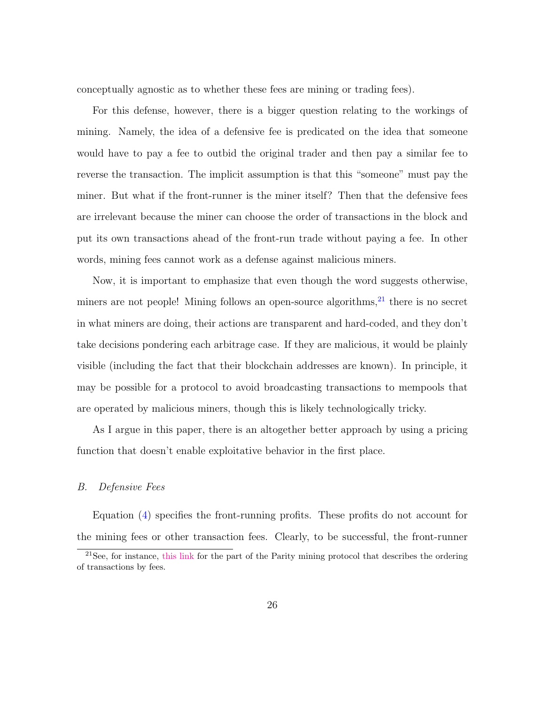conceptually agnostic as to whether these fees are mining or trading fees).

For this defense, however, there is a bigger question relating to the workings of mining. Namely, the idea of a defensive fee is predicated on the idea that someone would have to pay a fee to outbid the original trader and then pay a similar fee to reverse the transaction. The implicit assumption is that this "someone" must pay the miner. But what if the front-runner is the miner itself? Then that the defensive fees are irrelevant because the miner can choose the order of transactions in the block and put its own transactions ahead of the front-run trade without paying a fee. In other words, mining fees cannot work as a defense against malicious miners.

Now, it is important to emphasize that even though the word suggests otherwise, miners are not people! Mining follows an open-source algorithms, $^{21}$  $^{21}$  $^{21}$  there is no secret in what miners are doing, their actions are transparent and hard-coded, and they don't take decisions pondering each arbitrage case. If they are malicious, it would be plainly visible (including the fact that their blockchain addresses are known). In principle, it may be possible for a protocol to avoid broadcasting transactions to mempools that are operated by malicious miners, though this is likely technologically tricky.

As I argue in this paper, there is an altogether better approach by using a pricing function that doesn't enable exploitative behavior in the first place.

#### B. Defensive Fees

Equation [\(4\)](#page-23-0) specifies the front-running profits. These profits do not account for the mining fees or other transaction fees. Clearly, to be successful, the front-runner

<span id="page-26-0"></span><sup>21</sup>See, for instance, [this link](https://github.com/openethereum/openethereum/blob/c49beccadcd3c60c9fd90d1393921b91598c8eb0/ethcore/src/miner/transaction_queue.rs#L252) for the part of the Parity mining protocol that describes the ordering of transactions by fees.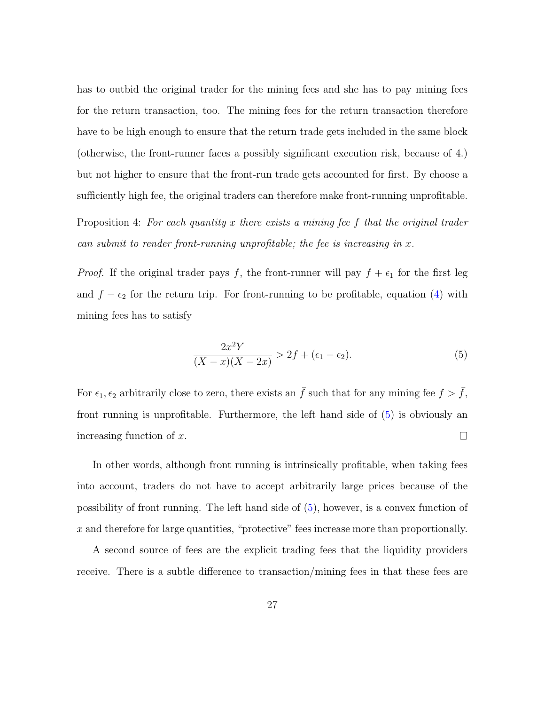has to outbid the original trader for the mining fees and she has to pay mining fees for the return transaction, too. The mining fees for the return transaction therefore have to be high enough to ensure that the return trade gets included in the same block (otherwise, the front-runner faces a possibly significant execution risk, because of 4.) but not higher to ensure that the front-run trade gets accounted for first. By choose a sufficiently high fee, the original traders can therefore make front-running unprofitable.

Proposition 4: For each quantity x there exists a mining fee f that the original trader can submit to render front-running unprofitable; the fee is increasing in  $x$ .

*Proof.* If the original trader pays f, the front-runner will pay  $f + \epsilon_1$  for the first leg and  $f - \epsilon_2$  for the return trip. For front-running to be profitable, equation [\(4\)](#page-23-0) with mining fees has to satisfy

<span id="page-27-0"></span>
$$
\frac{2x^2Y}{(X-x)(X-2x)} > 2f + (\epsilon_1 - \epsilon_2). \tag{5}
$$

For  $\epsilon_1, \epsilon_2$  arbitrarily close to zero, there exists an  $\bar{f}$  such that for any mining fee  $f > \bar{f}$ , front running is unprofitable. Furthermore, the left hand side of [\(5\)](#page-27-0) is obviously an  $\Box$ increasing function of x.

In other words, although front running is intrinsically profitable, when taking fees into account, traders do not have to accept arbitrarily large prices because of the possibility of front running. The left hand side of [\(5\)](#page-27-0), however, is a convex function of  $x$  and therefore for large quantities, "protective" fees increase more than proportionally.

A second source of fees are the explicit trading fees that the liquidity providers receive. There is a subtle difference to transaction/mining fees in that these fees are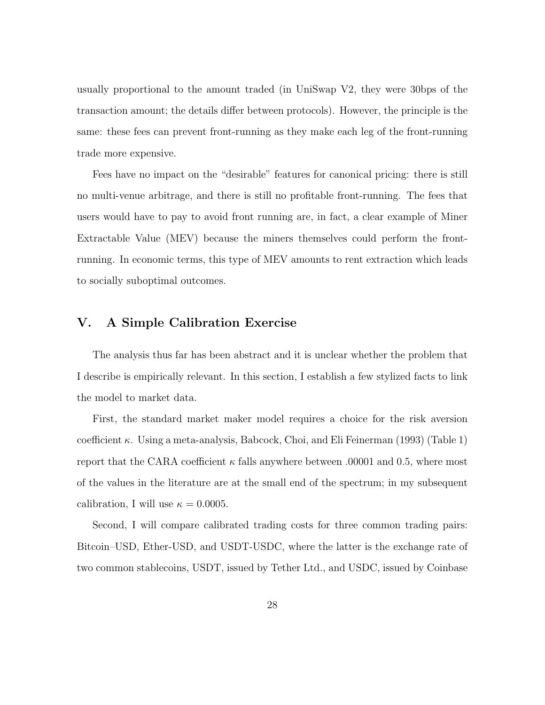usually proportional to the amount traded (in UniSwap V2, they were 30bps of the transaction amount; the details differ between protocols). However, the principle is the same: these fees can prevent front-running as they make each leg of the front-running trade more expensive.

Fees have no impact on the "desirable" features for canonical pricing: there is still no multi-venue arbitrage, and there is still no profitable front-running. The fees that users would have to pay to avoid front running are, in fact, a clear example of Miner Extractable Value (MEV) because the miners themselves could perform the frontrunning. In economic terms, this type of MEV amounts to rent extraction which leads to socially suboptimal outcomes.

## V. A Simple Calibration Exercise

The analysis thus far has been abstract and it is unclear whether the problem that I describe is empirically relevant. In this section, I establish a few stylized facts to link the model to market data.

First, the standard market maker model requires a choice for the risk aversion coefficient  $\kappa$ . Using a meta-analysis, Babcock, Choi, and Eli Feinerman (1993) (Table 1) report that the CARA coefficient  $\kappa$  falls anywhere between .00001 and 0.5, where most of the values in the literature are at the small end of the spectrum; in my subsequent calibration, I will use  $\kappa = 0.0005$ .

Second, I will compare calibrated trading costs for three common trading pairs: Bitcoin–USD, Ether-USD, and USDT-USDC, where the latter is the exchange rate of two common stablecoins, USDT, issued by Tether Ltd., and USDC, issued by Coinbase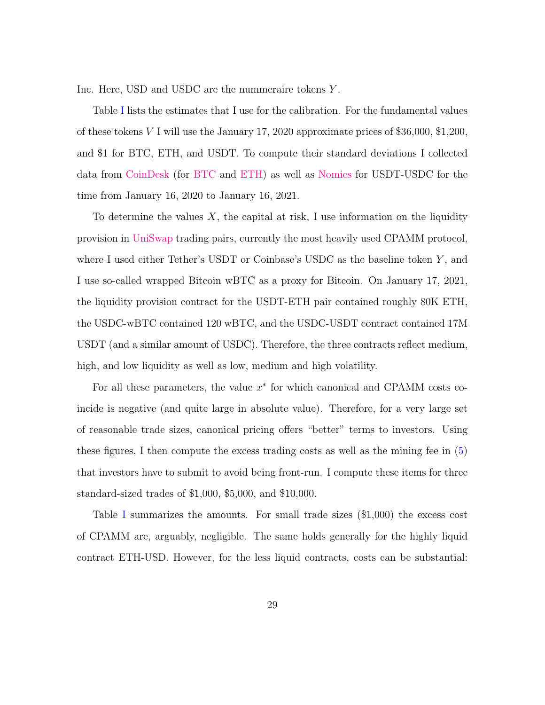Inc. Here, USD and USDC are the nummeraire tokens Y.

Table [I](#page-30-0) lists the estimates that I use for the calibration. For the fundamental values of these tokens V I will use the January 17, 2020 approximate prices of \$36,000, \$1,200, and \$1 for BTC, ETH, and USDT. To compute their standard deviations I collected data from [CoinDesk](https://www.coindesk.com) (for [BTC](https://www.coindesk.com/price/bitcoin) and [ETH\)](https://www.coindesk.com/price/ethereum) as well as [Nomics](https://nomics.com/markets/usdc-usd-coin/usdt-tether/history) for USDT-USDC for the time from January 16, 2020 to January 16, 2021.

To determine the values  $X$ , the capital at risk, I use information on the liquidity provision in [UniSwap](https://info.uniswap.org/) trading pairs, currently the most heavily used CPAMM protocol, where I used either Tether's USDT or Coinbase's USDC as the baseline token  $Y$ , and I use so-called wrapped Bitcoin wBTC as a proxy for Bitcoin. On January 17, 2021, the liquidity provision contract for the USDT-ETH pair contained roughly 80K ETH, the USDC-wBTC contained 120 wBTC, and the USDC-USDT contract contained 17M USDT (and a similar amount of USDC). Therefore, the three contracts reflect medium, high, and low liquidity as well as low, medium and high volatility.

For all these parameters, the value  $x^*$  for which canonical and CPAMM costs coincide is negative (and quite large in absolute value). Therefore, for a very large set of reasonable trade sizes, canonical pricing offers "better" terms to investors. Using these figures, I then compute the excess trading costs as well as the mining fee in [\(5\)](#page-27-0) that investors have to submit to avoid being front-run. I compute these items for three standard-sized trades of \$1,000, \$5,000, and \$10,000.

Table [I](#page-30-0) summarizes the amounts. For small trade sizes (\$1,000) the excess cost of CPAMM are, arguably, negligible. The same holds generally for the highly liquid contract ETH-USD. However, for the less liquid contracts, costs can be substantial: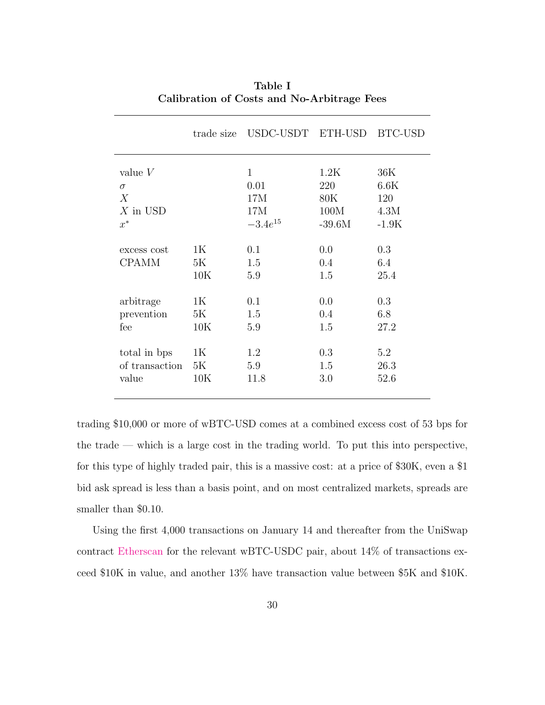<span id="page-30-0"></span>

|                             | trade size      | USDC-USDT ETH-USD BTC-USD |                   |                    |
|-----------------------------|-----------------|---------------------------|-------------------|--------------------|
| value $V$                   |                 | $\mathbf{1}$              | 1.2K              | 36K                |
| $\sigma$                    |                 | 0.01                      | 220               | 6.6K               |
| $\boldsymbol{X}$            |                 | 17M                       | 80K               | 120                |
| $X$ in USD                  |                 | 17M                       | 100M              | 4.3M               |
| $x^*$                       |                 | $-3.4e^{15}$              | $-39.6M$          | $-1.9K$            |
| excess cost<br><b>CPAMM</b> | 1K<br>5K<br>10K | 0.1<br>1.5<br>5.9         | 0.0<br>0.4<br>1.5 | 0.3<br>6.4<br>25.4 |
| arbitrage                   | 1K              | 0.1                       | 0.0               | 0.3                |
| prevention                  | 5K              | 1.5                       | $0.4\,$           | 6.8                |
| fee                         | 10K             | 5.9                       | 1.5               | 27.2               |
| total in bps                | 1K              | 1.2                       | 0.3               | 5.2                |
| of transaction              | 5K              | 5.9                       | 1.5               | 26.3               |
| value                       | 10K             | 11.8                      | 3.0               | 52.6               |

Table I Calibration of Costs and No-Arbitrage Fees

trading \$10,000 or more of wBTC-USD comes at a combined excess cost of 53 bps for the trade — which is a large cost in the trading world. To put this into perspective, for this type of highly traded pair, this is a massive cost: at a price of \$30K, even a \$1 bid ask spread is less than a basis point, and on most centralized markets, spreads are smaller than \$0.10.

Using the first 4,000 transactions on January 14 and thereafter from the UniSwap contract [Etherscan](https://etherscan.io/tokentxns?a=0x004375dff511095cc5a197a54140a24efef3a416) for the relevant wBTC-USDC pair, about 14% of transactions exceed \$10K in value, and another 13% have transaction value between \$5K and \$10K.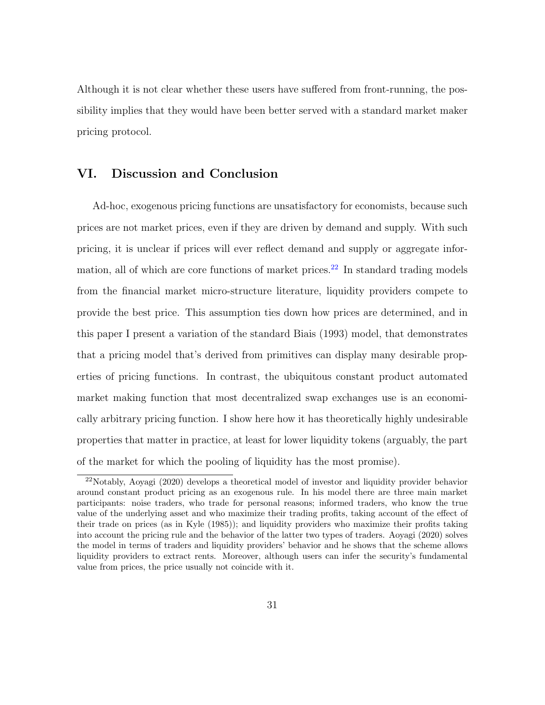Although it is not clear whether these users have suffered from front-running, the possibility implies that they would have been better served with a standard market maker pricing protocol.

## VI. Discussion and Conclusion

Ad-hoc, exogenous pricing functions are unsatisfactory for economists, because such prices are not market prices, even if they are driven by demand and supply. With such pricing, it is unclear if prices will ever reflect demand and supply or aggregate infor-mation, all of which are core functions of market prices.<sup>[22](#page-31-0)</sup> In standard trading models from the financial market micro-structure literature, liquidity providers compete to provide the best price. This assumption ties down how prices are determined, and in this paper I present a variation of the standard Biais (1993) model, that demonstrates that a pricing model that's derived from primitives can display many desirable properties of pricing functions. In contrast, the ubiquitous constant product automated market making function that most decentralized swap exchanges use is an economically arbitrary pricing function. I show here how it has theoretically highly undesirable properties that matter in practice, at least for lower liquidity tokens (arguably, the part of the market for which the pooling of liquidity has the most promise).

<span id="page-31-0"></span><sup>22</sup>Notably, Aoyagi (2020) develops a theoretical model of investor and liquidity provider behavior around constant product pricing as an exogenous rule. In his model there are three main market participants: noise traders, who trade for personal reasons; informed traders, who know the true value of the underlying asset and who maximize their trading profits, taking account of the effect of their trade on prices (as in Kyle (1985)); and liquidity providers who maximize their profits taking into account the pricing rule and the behavior of the latter two types of traders. Aoyagi (2020) solves the model in terms of traders and liquidity providers' behavior and he shows that the scheme allows liquidity providers to extract rents. Moreover, although users can infer the security's fundamental value from prices, the price usually not coincide with it.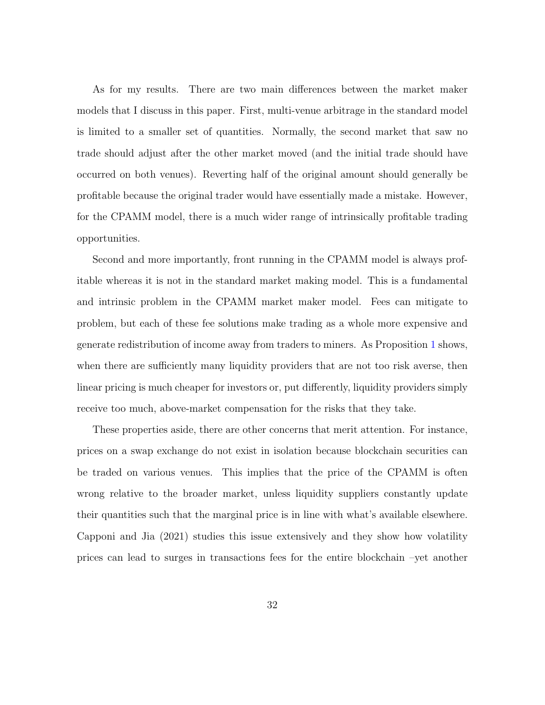As for my results. There are two main differences between the market maker models that I discuss in this paper. First, multi-venue arbitrage in the standard model is limited to a smaller set of quantities. Normally, the second market that saw no trade should adjust after the other market moved (and the initial trade should have occurred on both venues). Reverting half of the original amount should generally be profitable because the original trader would have essentially made a mistake. However, for the CPAMM model, there is a much wider range of intrinsically profitable trading opportunities.

Second and more importantly, front running in the CPAMM model is always profitable whereas it is not in the standard market making model. This is a fundamental and intrinsic problem in the CPAMM market maker model. Fees can mitigate to problem, but each of these fee solutions make trading as a whole more expensive and generate redistribution of income away from traders to miners. As Proposition [1](#page-17-0) shows, when there are sufficiently many liquidity providers that are not too risk averse, then linear pricing is much cheaper for investors or, put differently, liquidity providers simply receive too much, above-market compensation for the risks that they take.

These properties aside, there are other concerns that merit attention. For instance, prices on a swap exchange do not exist in isolation because blockchain securities can be traded on various venues. This implies that the price of the CPAMM is often wrong relative to the broader market, unless liquidity suppliers constantly update their quantities such that the marginal price is in line with what's available elsewhere. Capponi and Jia (2021) studies this issue extensively and they show how volatility prices can lead to surges in transactions fees for the entire blockchain –yet another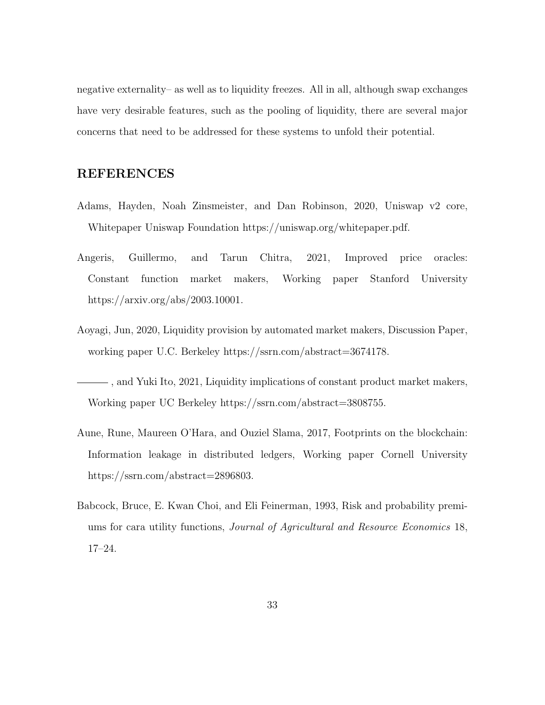negative externality– as well as to liquidity freezes. All in all, although swap exchanges have very desirable features, such as the pooling of liquidity, there are several major concerns that need to be addressed for these systems to unfold their potential.

## REFERENCES

- Adams, Hayden, Noah Zinsmeister, and Dan Robinson, 2020, Uniswap v2 core, Whitepaper Uniswap Foundation https://uniswap.org/whitepaper.pdf.
- Angeris, Guillermo, and Tarun Chitra, 2021, Improved price oracles: Constant function market makers, Working paper Stanford University https://arxiv.org/abs/2003.10001.
- Aoyagi, Jun, 2020, Liquidity provision by automated market makers, Discussion Paper, working paper U.C. Berkeley https://ssrn.com/abstract=3674178.
- , and Yuki Ito, 2021, Liquidity implications of constant product market makers, Working paper UC Berkeley https://ssrn.com/abstract=3808755.
- Aune, Rune, Maureen O'Hara, and Ouziel Slama, 2017, Footprints on the blockchain: Information leakage in distributed ledgers, Working paper Cornell University https://ssrn.com/abstract=2896803.
- Babcock, Bruce, E. Kwan Choi, and Eli Feinerman, 1993, Risk and probability premiums for cara utility functions, Journal of Agricultural and Resource Economics 18, 17–24.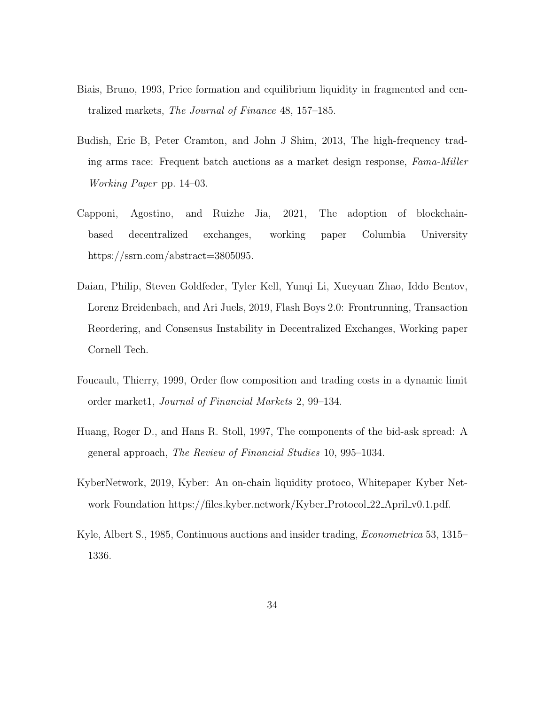- Biais, Bruno, 1993, Price formation and equilibrium liquidity in fragmented and centralized markets, The Journal of Finance 48, 157–185.
- Budish, Eric B, Peter Cramton, and John J Shim, 2013, The high-frequency trading arms race: Frequent batch auctions as a market design response, Fama-Miller Working Paper pp. 14–03.
- Capponi, Agostino, and Ruizhe Jia, 2021, The adoption of blockchainbased decentralized exchanges, working paper Columbia University https://ssrn.com/abstract=3805095.
- Daian, Philip, Steven Goldfeder, Tyler Kell, Yunqi Li, Xueyuan Zhao, Iddo Bentov, Lorenz Breidenbach, and Ari Juels, 2019, Flash Boys 2.0: Frontrunning, Transaction Reordering, and Consensus Instability in Decentralized Exchanges, Working paper Cornell Tech.
- Foucault, Thierry, 1999, Order flow composition and trading costs in a dynamic limit order market1, Journal of Financial Markets 2, 99–134.
- Huang, Roger D., and Hans R. Stoll, 1997, The components of the bid-ask spread: A general approach, The Review of Financial Studies 10, 995–1034.
- KyberNetwork, 2019, Kyber: An on-chain liquidity protoco, Whitepaper Kyber Network Foundation https://files.kyber.network/Kyber\_Protocol\_22\_April\_v0.1.pdf.
- Kyle, Albert S., 1985, Continuous auctions and insider trading, Econometrica 53, 1315– 1336.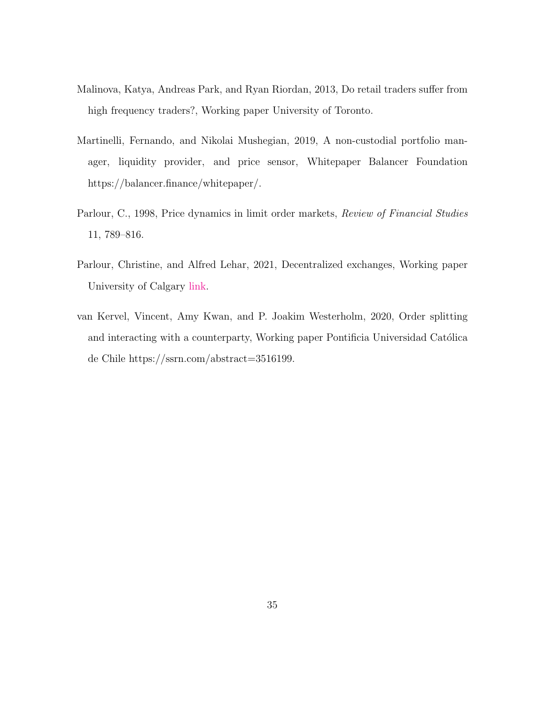- Malinova, Katya, Andreas Park, and Ryan Riordan, 2013, Do retail traders suffer from high frequency traders?, Working paper University of Toronto.
- Martinelli, Fernando, and Nikolai Mushegian, 2019, A non-custodial portfolio manager, liquidity provider, and price sensor, Whitepaper Balancer Foundation https://balancer.finance/whitepaper/.
- Parlour, C., 1998, Price dynamics in limit order markets, Review of Financial Studies 11, 789–816.
- Parlour, Christine, and Alfred Lehar, 2021, Decentralized exchanges, Working paper University of Calgary [link.](https://www.snb.ch/n/mmr/reference/sem_2021_05_20_lehar/source/sem_2021_05_20_lehar.n.pdf)
- van Kervel, Vincent, Amy Kwan, and P. Joakim Westerholm, 2020, Order splitting and interacting with a counterparty, Working paper Pontificia Universidad Católica de Chile https://ssrn.com/abstract=3516199.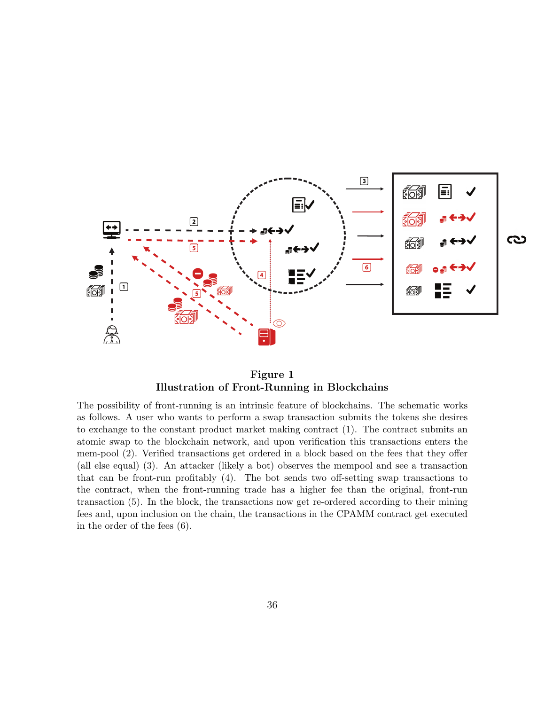<span id="page-36-0"></span>

Figure 1 Illustration of Front-Running in Blockchains

The possibility of front-running is an intrinsic feature of blockchains. The schematic works as follows. A user who wants to perform a swap transaction submits the tokens she desires to exchange to the constant product market making contract (1). The contract submits an atomic swap to the blockchain network, and upon verification this transactions enters the mem-pool (2). Verified transactions get ordered in a block based on the fees that they offer (all else equal) (3). An attacker (likely a bot) observes the mempool and see a transaction that can be front-run profitably (4). The bot sends two off-setting swap transactions to the contract, when the front-running trade has a higher fee than the original, front-run transaction (5). In the block, the transactions now get re-ordered according to their mining fees and, upon inclusion on the chain, the transactions in the CPAMM contract get executed in the order of the fees (6).